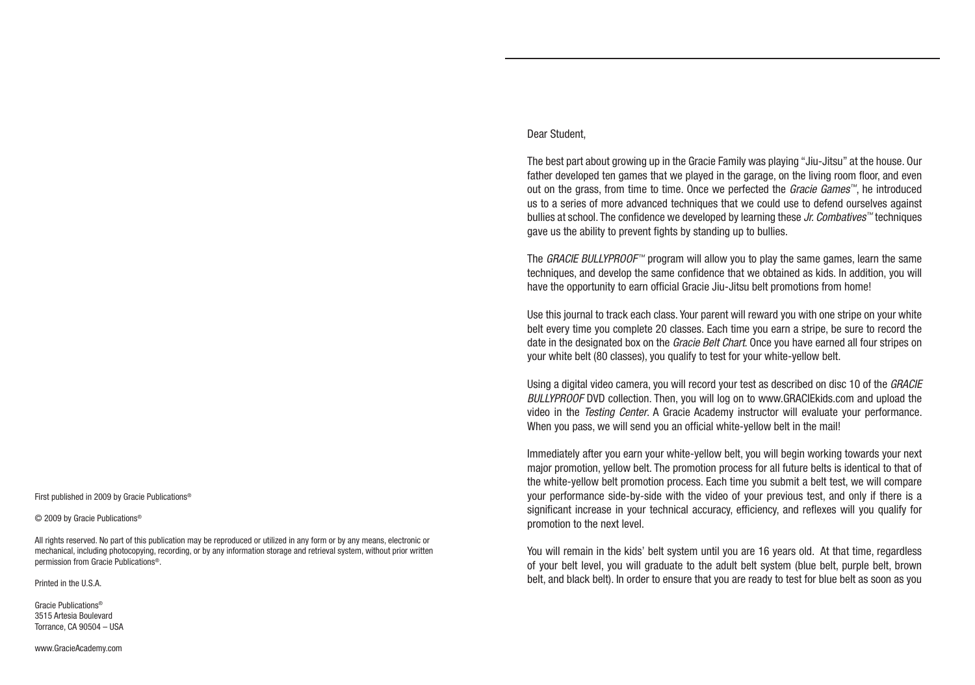First published in 2009 by Gracie Publications®

© 2009 by Gracie Publications®

All rights reserved. No part of this publication may be reproduced or utilized in any form or by any means, electronic or mechanical, including photocopying, recording, or by any information storage and retrieval system, without prior written permission from Gracie Publications®.

Printed in the U.S.A.

Gracie Publications® 3515 Artesia Boulevard Torrance, CA 90504 – USA

www.GracieAcademy.com

#### Dear Student,

The best part about growing up in the Gracie Family was playing "Jiu-Jitsu" at the house. Our father developed ten games that we played in the garage, on the living room floor, and even out on the grass, from time to time. Once we perfected the *Gracie Games™*, he introduced us to a series of more advanced techniques that we could use to defend ourselves against bullies at school. The confidence we developed by learning these *Jr. Combatives™* techniques gave us the ability to prevent fights by standing up to bullies.

The *GRACIE BULLYPROOF™* program will allow you to play the same games, learn the same techniques, and develop the same confidence that we obtained as kids. In addition, you will have the opportunity to earn official Gracie Jiu-Jitsu belt promotions from home!

Use this journal to track each class. Your parent will reward you with one stripe on your white belt every time you complete 20 classes. Each time you earn a stripe, be sure to record the date in the designated box on the *Gracie Belt Chart*. Once you have earned all four stripes on your white belt (80 classes), you qualify to test for your white-yellow belt.

Using a digital video camera, you will record your test as described on disc 10 of the *GRACIE BULLYPROOF* DVD collection. Then, you will log on to www.GRACIEkids.com and upload the video in the *Testing Center*. A Gracie Academy instructor will evaluate your performance. When you pass, we will send you an official white-yellow belt in the mail!

Immediately after you earn your white-yellow belt, you will begin working towards your next major promotion, yellow belt. The promotion process for all future belts is identical to that of the white-yellow belt promotion process. Each time you submit a belt test, we will compare your performance side-by-side with the video of your previous test, and only if there is a significant increase in your technical accuracy, efficiency, and reflexes will you qualify for promotion to the next level.

You will remain in the kids' belt system until you are 16 years old. At that time, regardless of your belt level, you will graduate to the adult belt system (blue belt, purple belt, brown belt, and black belt). In order to ensure that you are ready to test for blue belt as soon as you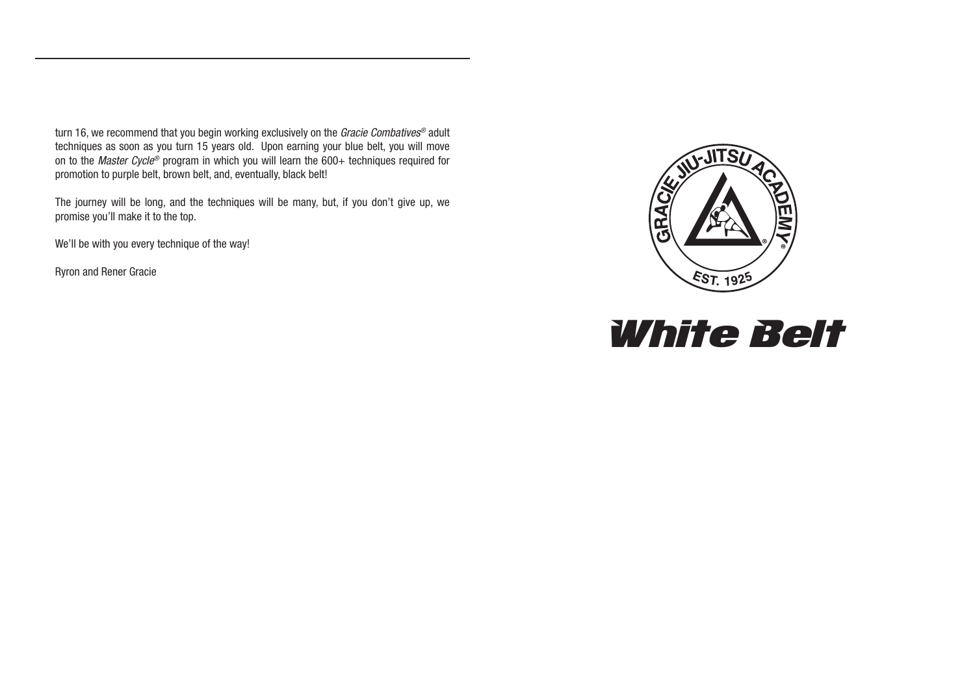turn 16, we recommend that you begin working exclusively on the *Gracie Combatives®* adult techniques as soon as you turn 15 years old. Upon earning your blue belt, you will move on to the *Master Cycle®* program in which you will learn the 600+ techniques required for promotion to purple belt, brown belt, and, eventually, black belt!

The journey will be long, and the techniques will be many, but, if you don't give up, we promise you'll make it to the top.

We'll be with you every technique of the way!

Ryron and Rener Gracie



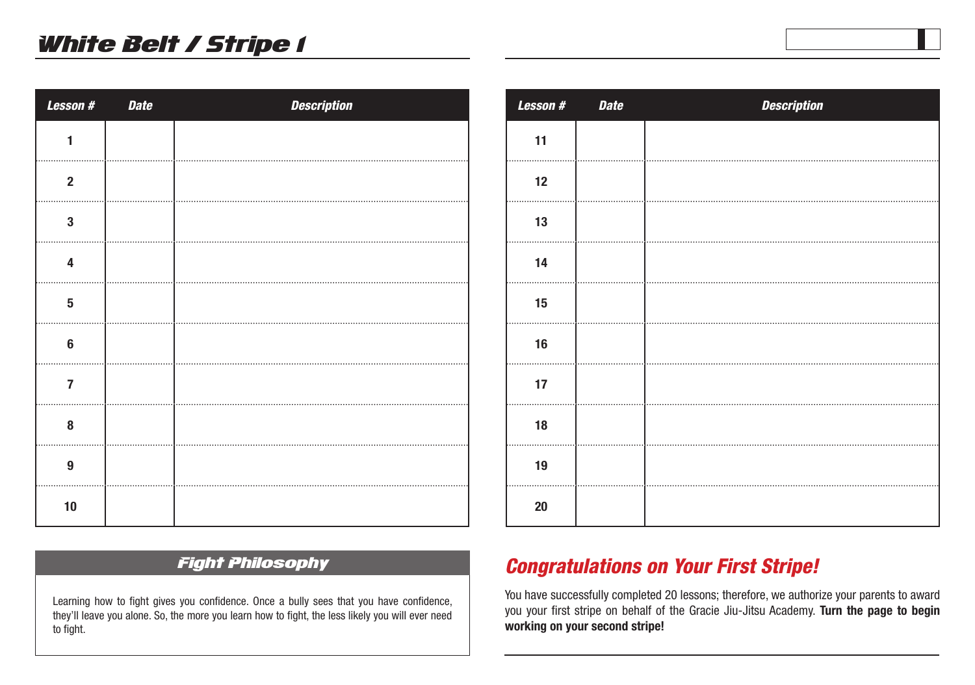| <b>Lesson#</b>          | <b>Date</b> | <b>Description</b> |
|-------------------------|-------------|--------------------|
| 1                       |             |                    |
| $\mathbf 2$             |             |                    |
| $\overline{\mathbf{3}}$ |             |                    |
| $\overline{\mathbf{4}}$ |             |                    |
| $\overline{\mathbf{5}}$ |             |                    |
| $6\phantom{1}$          |             |                    |
| $\overline{7}$          |             |                    |
| 8                       |             |                    |
| 9                       |             |                    |
| 10                      |             |                    |

| <b>Lesson#</b> | <b>Date</b> | <b>Description</b> |
|----------------|-------------|--------------------|
| 11             |             |                    |
| 12             |             |                    |
| 13             |             |                    |
| 14             |             |                    |
| 15             |             |                    |
| 16             |             |                    |
| 17             |             |                    |
| 18             |             |                    |
| 19             |             |                    |
| 20             |             |                    |

#### Fight Philosophy

Learning how to fight gives you confidence. Once a bully sees that you have confidence, they'll leave you alone. So, the more you learn how to fight, the less likely you will ever need to fight.

## *Congratulations on Your First Stripe!*

You have successfully completed 20 lessons; therefore, we authorize your parents to award you your first stripe on behalf of the Gracie Jiu-Jitsu Academy. **Turn the page to begin working on your second stripe!**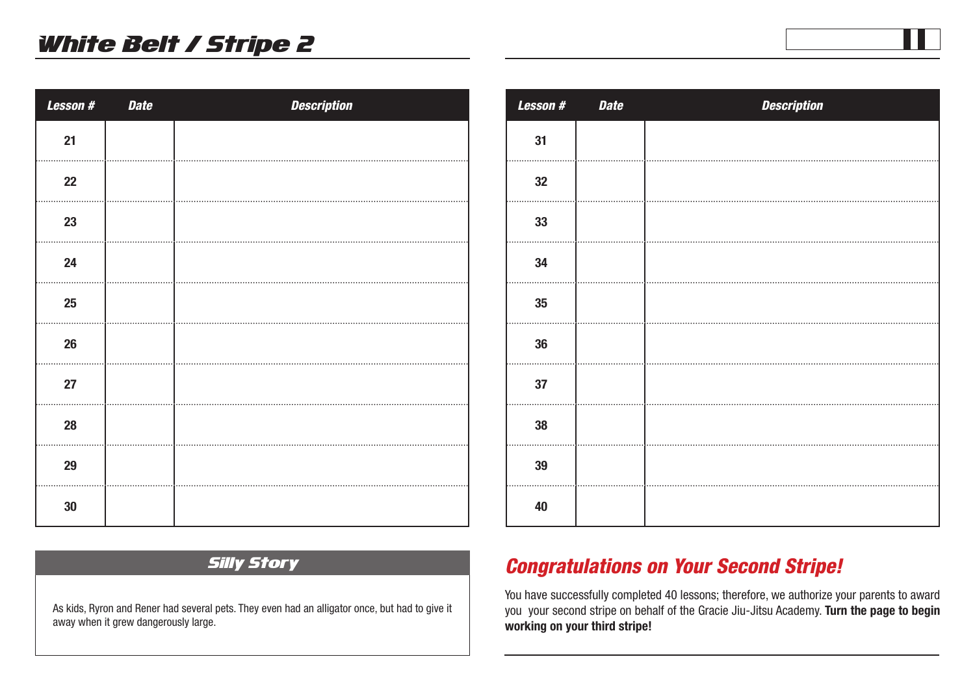| <b>Lesson#</b> | <b>Date</b> | <b>Description</b> |
|----------------|-------------|--------------------|
| 21             |             |                    |
| 22             |             |                    |
| 23             |             |                    |
| 24             |             |                    |
| 25             |             |                    |
| 26             |             |                    |
| 27             |             |                    |
| 28             |             |                    |
| 29             |             |                    |
| $30\,$         |             |                    |

| <b>Lesson#</b> | <b>Date</b> | <b>Description</b> |
|----------------|-------------|--------------------|
| 31             |             |                    |
| 32             |             |                    |
| 33             |             |                    |
| 34             |             |                    |
| 35             |             |                    |
| $36\,$         |             |                    |
| 37             |             |                    |
| 38             |             |                    |
| 39             |             |                    |
| 40             |             |                    |

#### Silly Story

As kids, Ryron and Rener had several pets. They even had an alligator once, but had to give it away when it grew dangerously large.

## *Congratulations on Your Second Stripe!*

You have successfully completed 40 lessons; therefore, we authorize your parents to award you your second stripe on behalf of the Gracie Jiu-Jitsu Academy. **Turn the page to begin working on your third stripe!**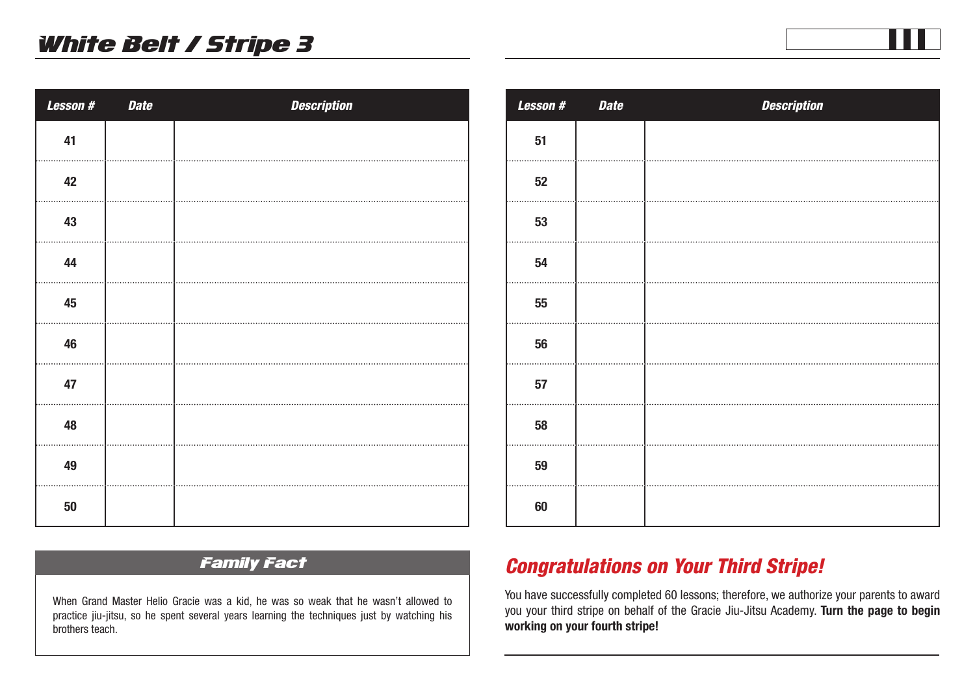| Lesson # | <b>Date</b> | <b>Description</b> |
|----------|-------------|--------------------|
| 41       |             |                    |
| 42       |             |                    |
| 43       |             |                    |
| 44       |             |                    |
| 45       |             |                    |
| 46       |             |                    |
| 47       |             |                    |
| 48       |             |                    |
| 49       |             |                    |
| 50       |             |                    |

| <b>Lesson#</b> | <b>Date</b> | <b>Description</b> |
|----------------|-------------|--------------------|
| 51             |             |                    |
| 52             |             |                    |
| 53             |             |                    |
| 54             |             |                    |
| 55             |             |                    |
| 56             |             |                    |
| 57             |             |                    |
| 58             |             |                    |
| 59             |             |                    |
| 60             |             |                    |

## Family Fact

When Grand Master Helio Gracie was a kid, he was so weak that he wasn't allowed to practice jiu-jitsu, so he spent several years learning the techniques just by watching his brothers teach.

## *Congratulations on Your Third Stripe!*

You have successfully completed 60 lessons; therefore, we authorize your parents to award you your third stripe on behalf of the Gracie Jiu-Jitsu Academy. **Turn the page to begin working on your fourth stripe!**

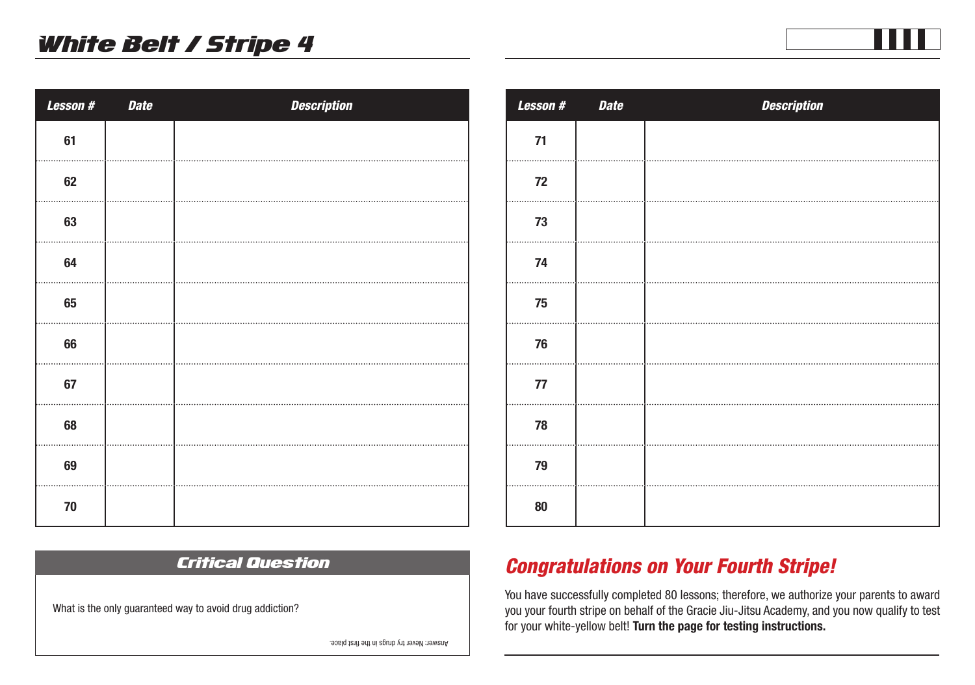| Lesson #   | <b>Date</b> | <b>Description</b> |
|------------|-------------|--------------------|
| 61         |             |                    |
| 62         |             |                    |
| 63         |             |                    |
| 64         |             |                    |
| 65         |             |                    |
| 66         |             |                    |
| 67         |             |                    |
| 68         |             |                    |
| 69         |             |                    |
| ${\bf 70}$ |             |                    |

| Lesson #   | <b>Date</b> | <b>Description</b> |
|------------|-------------|--------------------|
| $71$       |             |                    |
| ${\bf 72}$ |             |                    |
| 73         |             |                    |
| 74         |             |                    |
| 75         |             |                    |
| 76         |             |                    |
| ${\bf 77}$ |             |                    |
| 78         |             |                    |
| 79         |             |                    |
| 80         |             |                    |

## *Congratulations on Your Fourth Stripe!*

You have successfully completed 80 lessons; therefore, we authorize your parents to award you your fourth stripe on behalf of the Gracie Jiu-Jitsu Academy, and you now qualify to test for your white-yellow belt! **Turn the page for testing instructions.** 

Critical Question

What is the only guaranteed way to avoid drug addiction?

Answer: Never try drugs in the first place.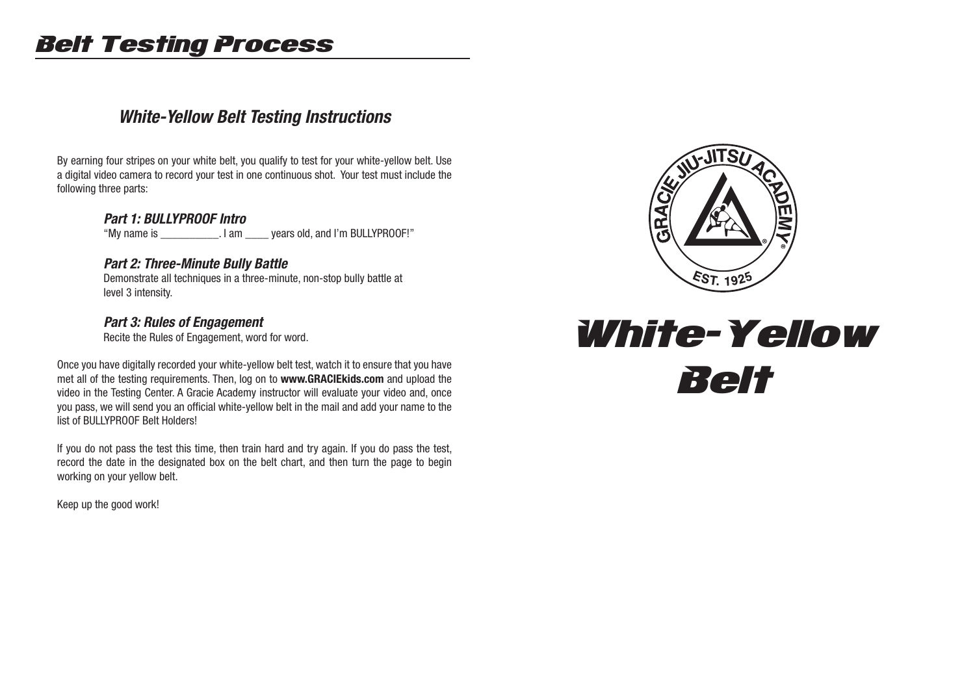# Belt Testing Process

## *White-Yellow Belt Testing Instructions*

By earning four stripes on your white belt, you qualify to test for your white-yellow belt. Use a digital video camera to record your test in one continuous shot. Your test must include the following three parts:

#### *Part 1: BULLYPROOF Intro*

"My name is \_\_\_\_\_\_\_\_\_\_. I am \_\_\_\_ years old, and I'm BULLYPROOF!"

#### *Part 2: Three-Minute Bully Battle*

 Demonstrate all techniques in a three-minute, non-stop bully battle at level 3 intensity.

#### *Part 3: Rules of Engagement*

Recite the Rules of Engagement, word for word.

Once you have digitally recorded your white-yellow belt test, watch it to ensure that you have met all of the testing requirements. Then, log on to **www.GRACIEkids.com** and upload the video in the Testing Center. A Gracie Academy instructor will evaluate your video and, once you pass, we will send you an official white-yellow belt in the mail and add your name to the list of BULLYPROOF Belt Holders!

If you do not pass the test this time, then train hard and try again. If you do pass the test, record the date in the designated box on the belt chart, and then turn the page to begin working on your yellow belt.

Keep up the good work!



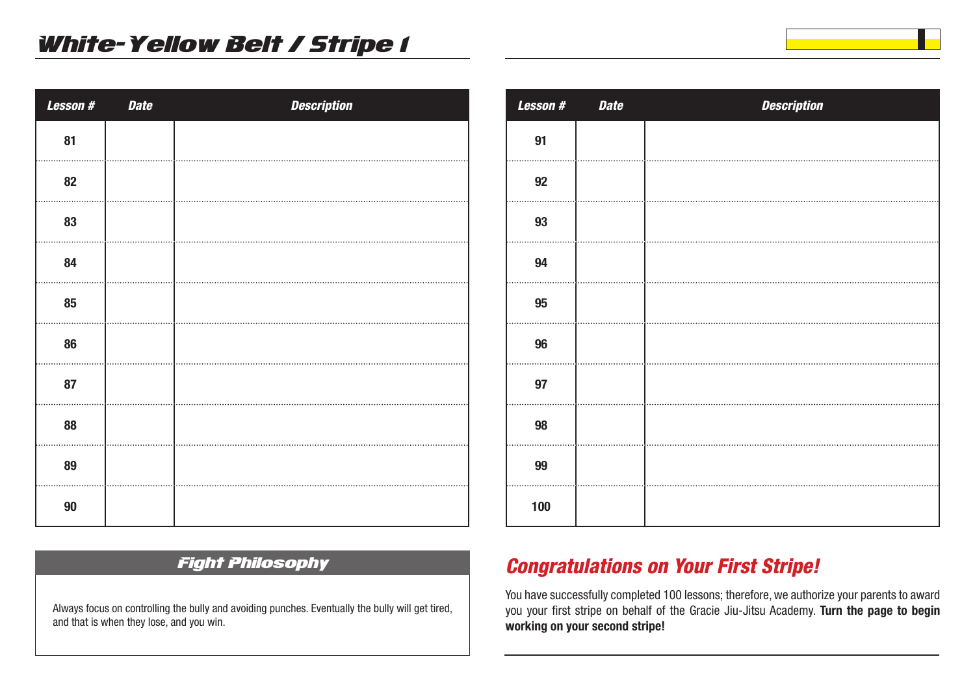| Lesson # | <b>Date</b> | <b>Description</b> |
|----------|-------------|--------------------|
| 81       |             |                    |
| 82       |             |                    |
| 83       |             |                    |
| 84       |             |                    |
| 85       |             |                    |
| 86       |             |                    |
| 87       |             |                    |
| 88       |             |                    |
| 89       |             |                    |
| $90\,$   |             |                    |

# *Lesson # Date Description*

### Fight Philosophy

Always focus on controlling the bully and avoiding punches. Eventually the bully will get tired, and that is when they lose, and you win.

## *Congratulations on Your First Stripe!*

You have successfully completed 100 lessons; therefore, we authorize your parents to award you your first stripe on behalf of the Gracie Jiu-Jitsu Academy. **Turn the page to begin working on your second stripe!**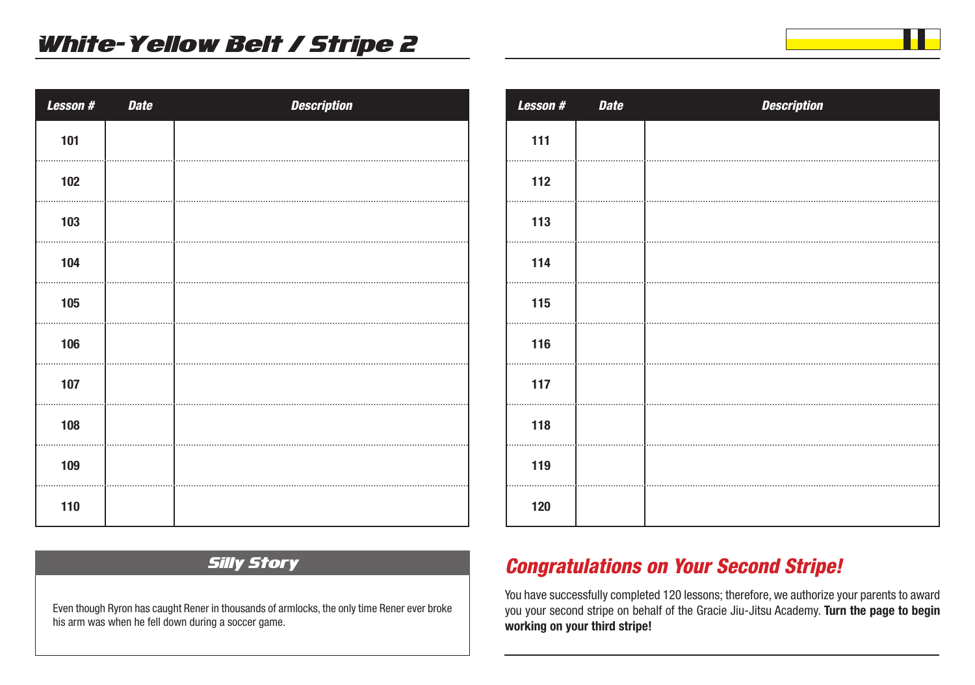| Lesson # | <b>Date</b> | <b>Description</b> |
|----------|-------------|--------------------|
| 101      |             |                    |
| 102      |             |                    |
| 103      |             |                    |
| 104      |             |                    |
| 105      |             |                    |
| 106      |             |                    |
| 107      |             |                    |
| 108      |             |                    |
| 109      |             |                    |
| 110      |             |                    |

| <b>Lesson#</b> | <b>Date</b> | <b>Description</b> |
|----------------|-------------|--------------------|
| 111            |             |                    |
| 112            |             |                    |
| 113            |             |                    |
| 114            |             |                    |
| 115            |             |                    |
| 116            |             |                    |
| 117            |             |                    |
| 118            |             |                    |
| 119            |             |                    |
| 120            |             |                    |

### Silly Story

Even though Ryron has caught Rener in thousands of armlocks, the only time Rener ever broke his arm was when he fell down during a soccer game.

## *Congratulations on Your Second Stripe!*

You have successfully completed 120 lessons; therefore, we authorize your parents to award you your second stripe on behalf of the Gracie Jiu-Jitsu Academy. **Turn the page to begin working on your third stripe!**

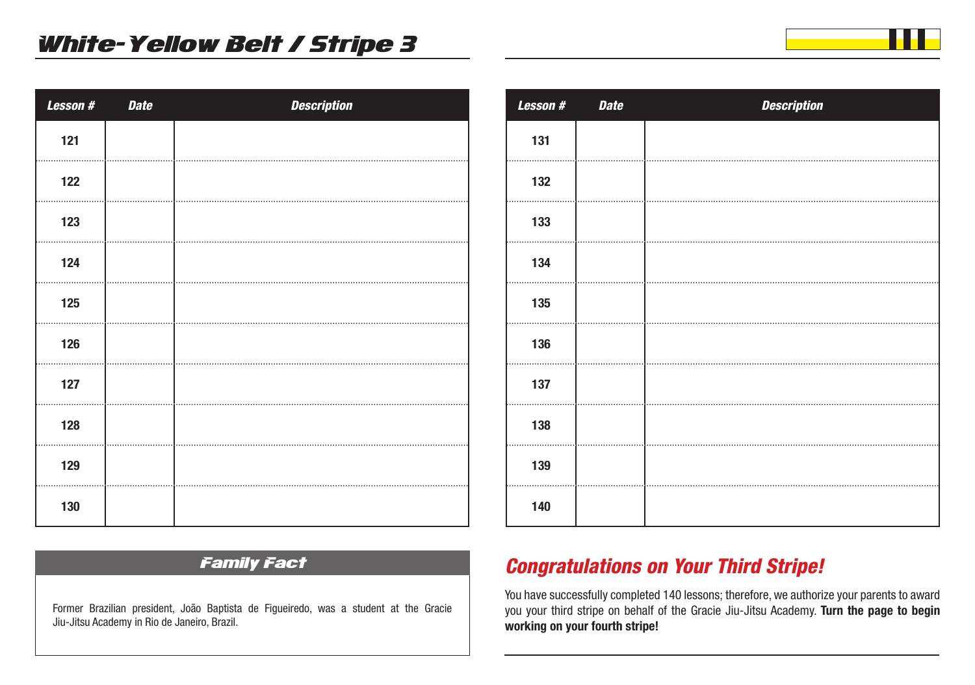| Lesson # | <b>Date</b> | <b>Description</b> |
|----------|-------------|--------------------|
| 121      |             |                    |
| 122      |             |                    |
| 123      |             |                    |
| 124      |             |                    |
| 125      |             |                    |
| 126      |             |                    |
| 127      |             |                    |
| 128      |             |                    |
| 129      |             |                    |
| 130      |             |                    |

| <b>Lesson#</b> | <b>Date</b> | <b>Description</b> |
|----------------|-------------|--------------------|
| 131            |             |                    |
| 132            |             |                    |
| 133            |             |                    |
| 134            |             |                    |
| 135            |             |                    |
| 136            |             |                    |
| 137            |             |                    |
| 138            |             |                    |
| 139            |             |                    |
| 140            |             |                    |

### Family Fact

Former Brazilian president, João Baptista de Figueiredo, was a student at the Gracie Jiu-Jitsu Academy in Rio de Janeiro, Brazil.

## *Congratulations on Your Third Stripe!*

You have successfully completed 140 lessons; therefore, we authorize your parents to award you your third stripe on behalf of the Gracie Jiu-Jitsu Academy. **Turn the page to begin working on your fourth stripe!**

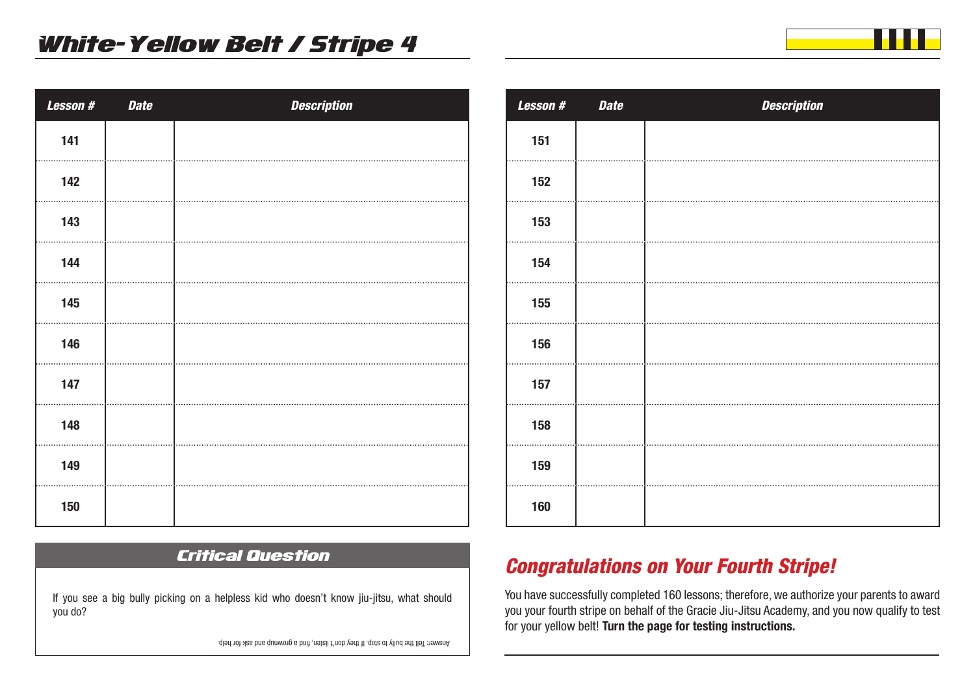| Lesson# | <b>Date</b> | <b>Description</b> |
|---------|-------------|--------------------|
| 141     |             |                    |
| 142     |             |                    |
| 143     |             |                    |
| 144     |             |                    |
| 145     |             |                    |
| 146     |             |                    |
| 147     |             |                    |
| 148     |             |                    |
| 149     |             |                    |
| 150     |             |                    |

## Critical Question

If you see a big bully picking on a helpless kid who doesn't know jiu-jitsu, what should you do?

Answer: Tell the bully to stop. If they don't listen, find a grownup and ask for help.

| <b>Lesson#</b> | <b>Date</b> | <b>Description</b> |
|----------------|-------------|--------------------|
| 151            |             |                    |
| 152            |             |                    |
| 153            |             |                    |
| 154            |             |                    |
| 155            |             |                    |
| 156            |             |                    |
| 157            |             |                    |
| 158            |             |                    |
| 159            |             |                    |
| 160            |             |                    |

## *Congratulations on Your Fourth Stripe!*

You have successfully completed 160 lessons; therefore, we authorize your parents to award you your fourth stripe on behalf of the Gracie Jiu-Jitsu Academy, and you now qualify to test for your yellow belt! **Turn the page for testing instructions.** 

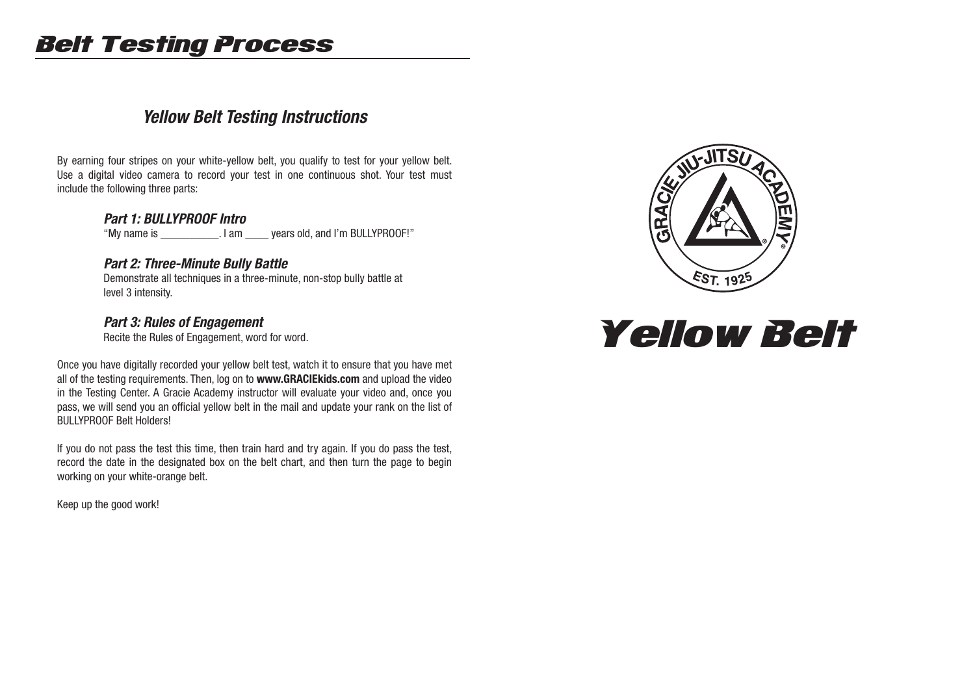# Belt Testing Process

## *Yellow Belt Testing Instructions*

By earning four stripes on your white-yellow belt, you qualify to test for your yellow belt. Use a digital video camera to record your test in one continuous shot. Your test must include the following three parts:

#### *Part 1: BULLYPROOF Intro*

"My name is \_\_\_\_\_\_\_\_\_\_. I am \_\_\_\_ years old, and I'm BULLYPROOF!"

#### *Part 2: Three-Minute Bully Battle*

 Demonstrate all techniques in a three-minute, non-stop bully battle at level 3 intensity.

#### *Part 3: Rules of Engagement*

Recite the Rules of Engagement, word for word.

Once you have digitally recorded your yellow belt test, watch it to ensure that you have met all of the testing requirements. Then, log on to **www.GRACIEkids.com** and upload the video in the Testing Center. A Gracie Academy instructor will evaluate your video and, once you pass, we will send you an official yellow belt in the mail and update your rank on the list of BULLYPROOF Belt Holders!

If you do not pass the test this time, then train hard and try again. If you do pass the test, record the date in the designated box on the belt chart, and then turn the page to begin working on your white-orange belt.

Keep up the good work!



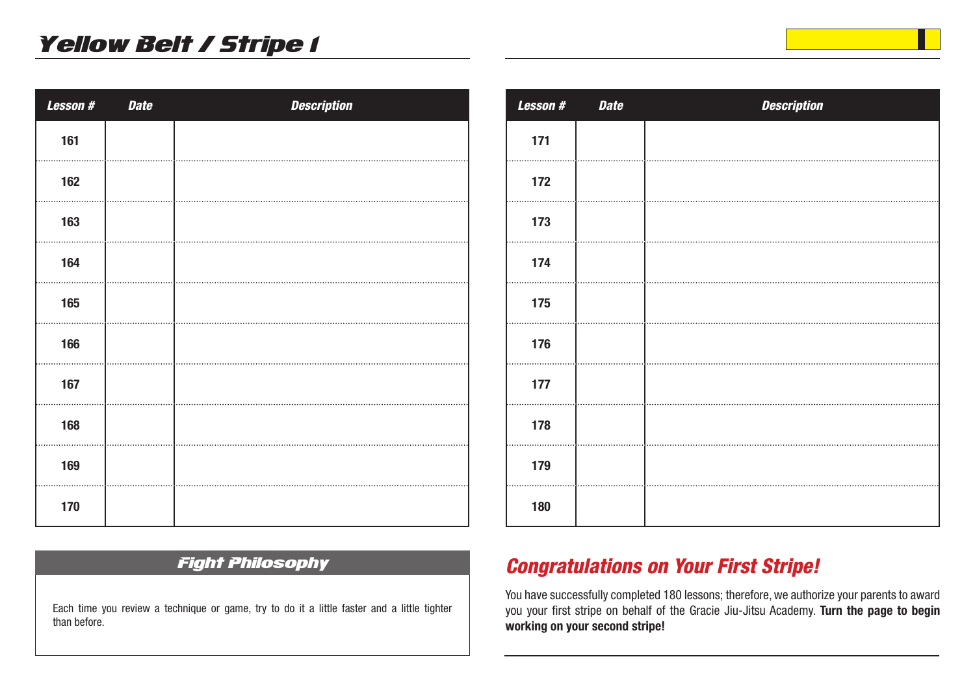| <b>Lesson#</b> | <b>Date</b> | <b>Description</b> |
|----------------|-------------|--------------------|
| 161            |             |                    |
| 162            |             |                    |
| 163            |             |                    |
| 164            |             |                    |
| 165            |             |                    |
| 166            |             |                    |
| 167            |             |                    |
| 168            |             |                    |
| 169            |             |                    |
| 170            |             |                    |

# *Lesson # Date Description*

#### Fight Philosophy

Each time you review a technique or game, try to do it a little faster and a little tighter than before.

## *Congratulations on Your First Stripe!*

You have successfully completed 180 lessons; therefore, we authorize your parents to award you your first stripe on behalf of the Gracie Jiu-Jitsu Academy. **Turn the page to begin working on your second stripe!**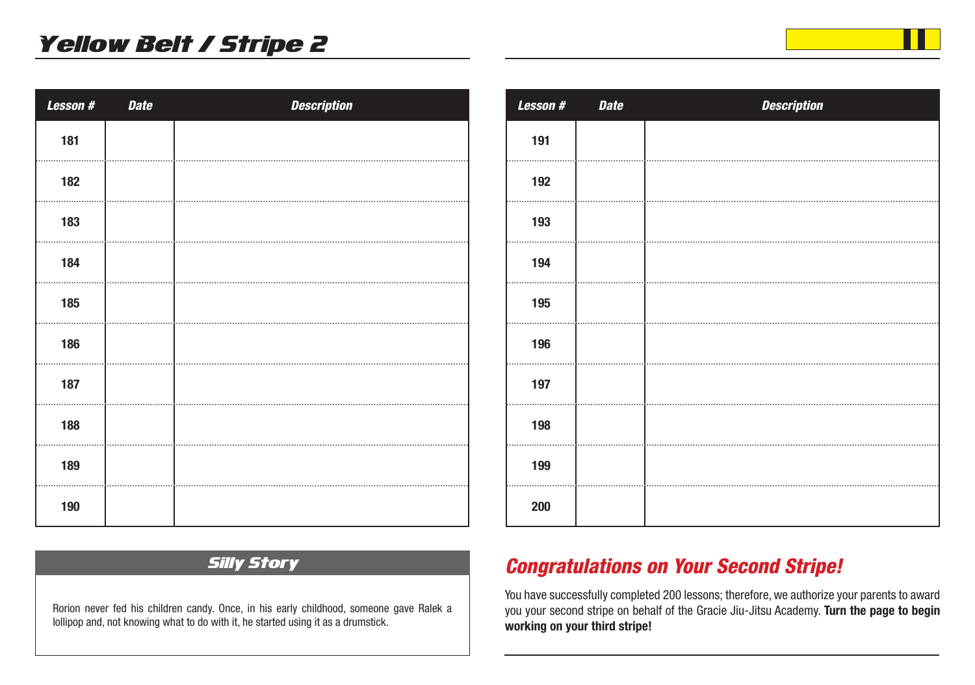| Lesson# | <b>Date</b> | <b>Description</b> |
|---------|-------------|--------------------|
| 181     |             |                    |
| 182     |             |                    |
| 183     |             |                    |
| 184     |             |                    |
| 185     |             |                    |
| 186     |             |                    |
| 187     |             |                    |
| 188     |             |                    |
| 189     |             |                    |
| 190     |             |                    |

| <b>Lesson#</b> | <b>Date</b> | <b>Description</b> |
|----------------|-------------|--------------------|
| 191            |             |                    |
| 192            |             |                    |
| 193            |             |                    |
| 194            |             |                    |
| 195            |             |                    |
| 196            |             |                    |
| 197            |             |                    |
| 198            |             |                    |
| 199            |             |                    |
| 200            |             |                    |

### Silly Story

Rorion never fed his children candy. Once, in his early childhood, someone gave Ralek a lollipop and, not knowing what to do with it, he started using it as a drumstick.

## *Congratulations on Your Second Stripe!*

You have successfully completed 200 lessons; therefore, we authorize your parents to award you your second stripe on behalf of the Gracie Jiu-Jitsu Academy. **Turn the page to begin working on your third stripe!**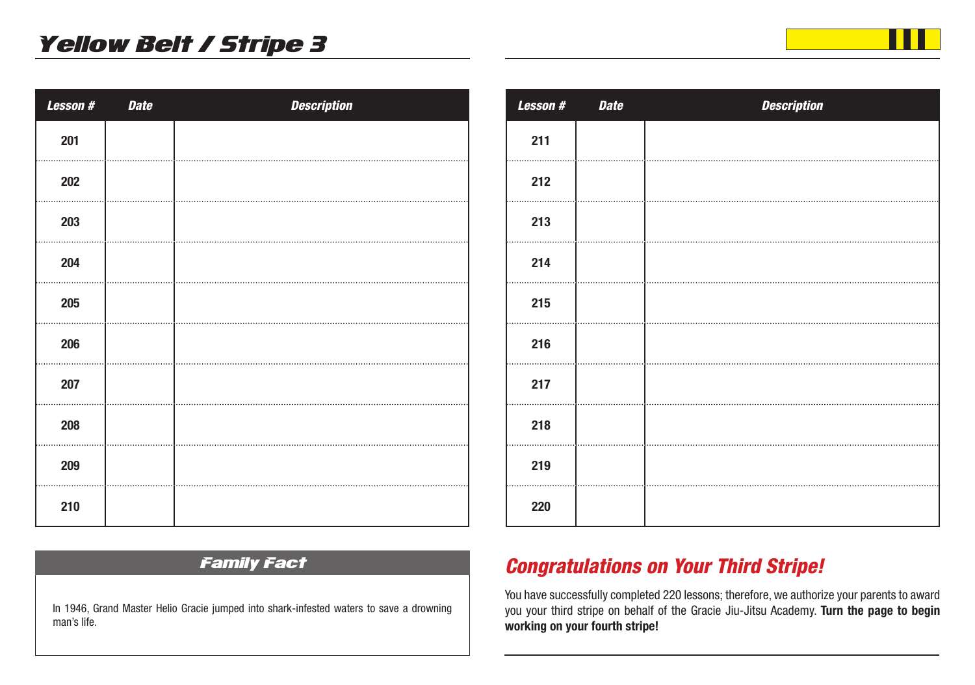| <b>Lesson#</b> | <b>Date</b> | <b>Description</b> |
|----------------|-------------|--------------------|
| 201            |             |                    |
| 202            |             |                    |
| 203            |             |                    |
| 204            |             |                    |
| 205            |             |                    |
| 206            |             |                    |
| 207            |             |                    |
| 208            |             |                    |
| 209            |             |                    |
| 210            |             |                    |

# *Lesson # Date Description*

#### Family Fact

In 1946, Grand Master Helio Gracie jumped into shark-infested waters to save a drowning man's life.

# *Congratulations on Your Third Stripe!*

You have successfully completed 220 lessons; therefore, we authorize your parents to award you your third stripe on behalf of the Gracie Jiu-Jitsu Academy. **Turn the page to begin working on your fourth stripe!**

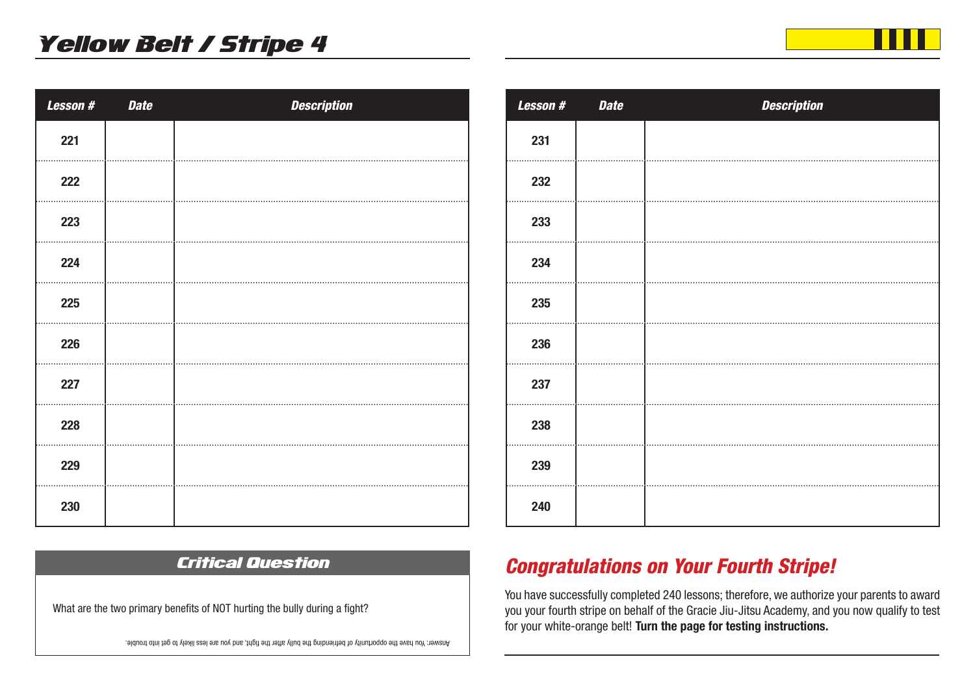| Lesson # | <b>Date</b> | <b>Description</b> |
|----------|-------------|--------------------|
| 221      |             |                    |
| 222      |             |                    |
| 223      |             |                    |
| 224      |             |                    |
| 225      |             |                    |
| 226      |             |                    |
| 227      |             |                    |
| 228      |             |                    |
| 229      |             |                    |
| 230      |             |                    |

| <b>Lesson#</b> | <b>Date</b> | <b>Description</b> |
|----------------|-------------|--------------------|
| 231            |             |                    |
| 232            |             |                    |
| 233            |             |                    |
| 234            |             |                    |
| 235            |             |                    |
| 236            |             |                    |
| 237            |             |                    |
| 238            |             |                    |
| 239            |             |                    |
| 240            |             |                    |

## *Congratulations on Your Fourth Stripe!*

You have successfully completed 240 lessons; therefore, we authorize your parents to award you your fourth stripe on behalf of the Gracie Jiu-Jitsu Academy, and you now qualify to test for your white-orange belt! **Turn the page for testing instructions.** 

Answer: You have the opportunity of befriending the bully after the fight, and you are less likely to get into trouble.

Critical Question

What are the two primary benefits of NOT hurting the bully during a fight?

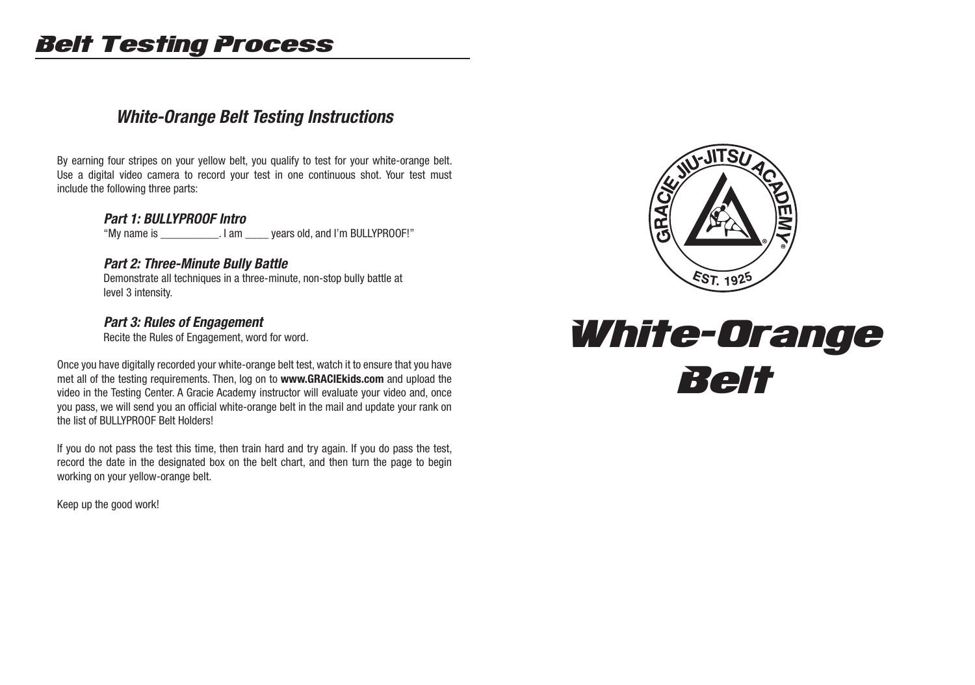# Belt Testing Process

## *White-Orange Belt Testing Instructions*

By earning four stripes on your yellow belt, you qualify to test for your white-orange belt. Use a digital video camera to record your test in one continuous shot. Your test must include the following three parts:

#### *Part 1: BULLYPROOF Intro*

"My name is \_\_\_\_\_\_\_\_\_\_. I am \_\_\_\_ years old, and I'm BULLYPROOF!"

#### *Part 2: Three-Minute Bully Battle*

 Demonstrate all techniques in a three-minute, non-stop bully battle at level 3 intensity.

#### *Part 3: Rules of Engagement*

Recite the Rules of Engagement, word for word.

Once you have digitally recorded your white-orange belt test, watch it to ensure that you have met all of the testing requirements. Then, log on to **www.GRACIEkids.com** and upload the video in the Testing Center. A Gracie Academy instructor will evaluate your video and, once you pass, we will send you an official white-orange belt in the mail and update your rank on the list of BULLYPROOF Belt Holders!

If you do not pass the test this time, then train hard and try again. If you do pass the test, record the date in the designated box on the belt chart, and then turn the page to begin working on your yellow-orange belt.

Keep up the good work!



# White-Orange Belt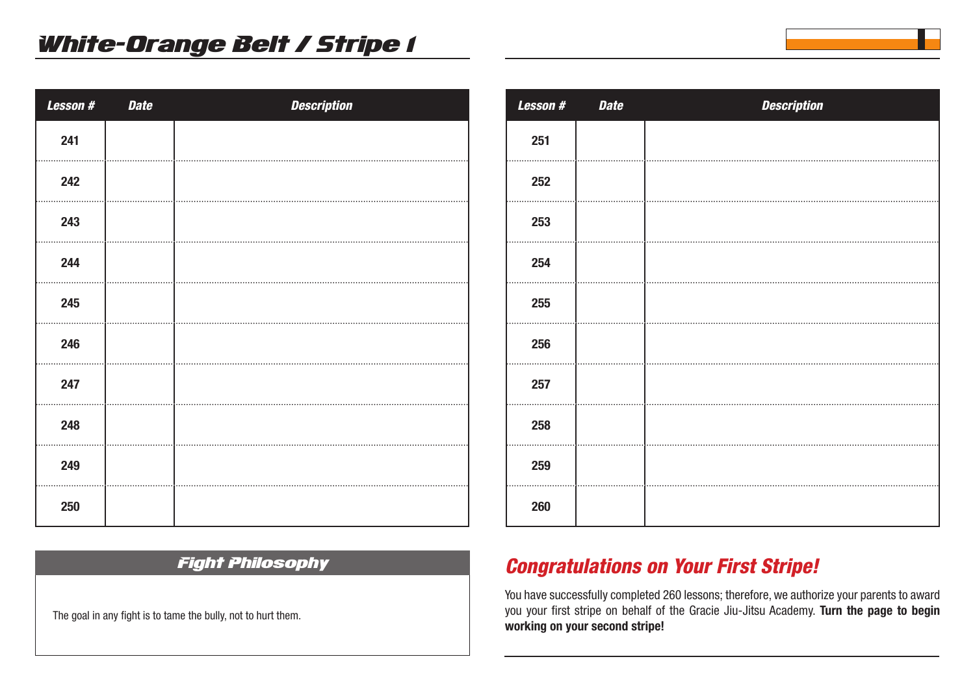| <b>Lesson#</b> | <b>Date</b> | <b>Description</b> |
|----------------|-------------|--------------------|
| 241            |             |                    |
| 242            |             |                    |
| 243            |             |                    |
| 244            |             |                    |
| 245            |             |                    |
| 246            |             |                    |
| 247            |             |                    |
| 248            |             |                    |
| 249            |             |                    |
| 250            |             |                    |

| <b>Lesson#</b> | <b>Date</b> | <b>Description</b> |
|----------------|-------------|--------------------|
| 251            |             |                    |
| 252            |             |                    |
| 253            |             |                    |
| 254            |             |                    |
| 255            |             |                    |
| 256            |             |                    |
| 257            |             |                    |
| 258            |             |                    |
| 259            |             |                    |
| 260            |             |                    |

#### Fight Philosophy

The goal in any fight is to tame the bully, not to hurt them.

## *Congratulations on Your First Stripe!*

You have successfully completed 260 lessons; therefore, we authorize your parents to award you your first stripe on behalf of the Gracie Jiu-Jitsu Academy. **Turn the page to begin working on your second stripe!**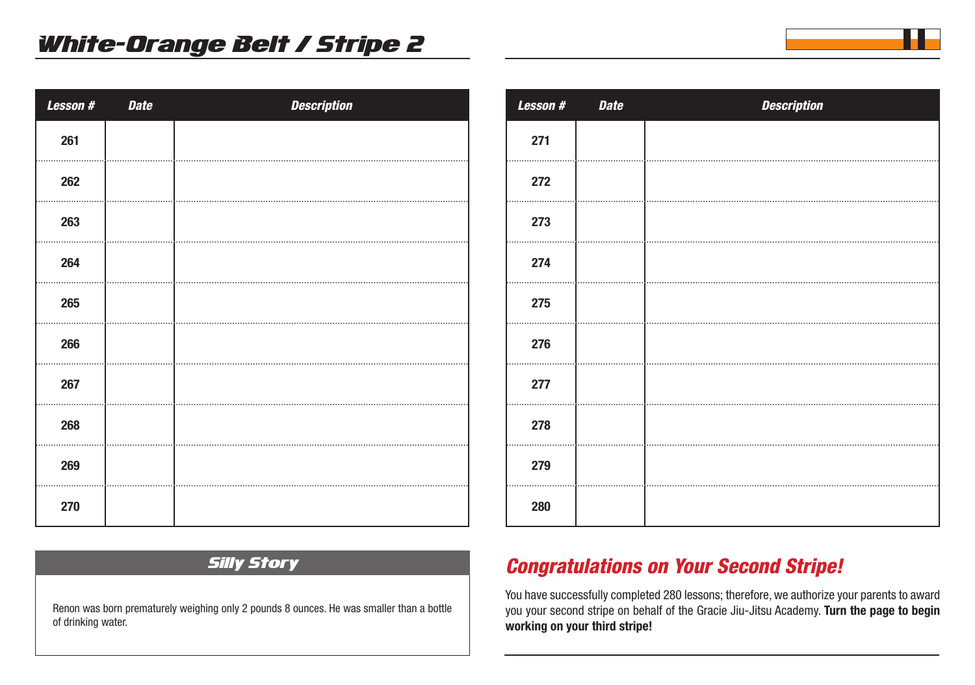| Lesson # | <b>Date</b> | <b>Description</b> |
|----------|-------------|--------------------|
| 261      |             |                    |
| 262      |             |                    |
| 263      |             |                    |
| 264      |             |                    |
| 265      |             |                    |
| 266      |             |                    |
| 267      |             |                    |
| 268      |             |                    |
| 269      |             |                    |
| 270      |             |                    |

| <b>Lesson#</b> | <b>Date</b> | <b>Description</b> |
|----------------|-------------|--------------------|
| 271            |             |                    |
| 272            |             |                    |
| 273            |             |                    |
| 274            |             |                    |
| 275            |             |                    |
| 276            |             |                    |
| 277            |             |                    |
| 278            |             |                    |
| 279            |             |                    |
| 280            |             |                    |
|                |             |                    |

### Silly Story

Renon was born prematurely weighing only 2 pounds 8 ounces. He was smaller than a bottle of drinking water.

## *Congratulations on Your Second Stripe!*

You have successfully completed 280 lessons; therefore, we authorize your parents to award you your second stripe on behalf of the Gracie Jiu-Jitsu Academy. **Turn the page to begin working on your third stripe!**

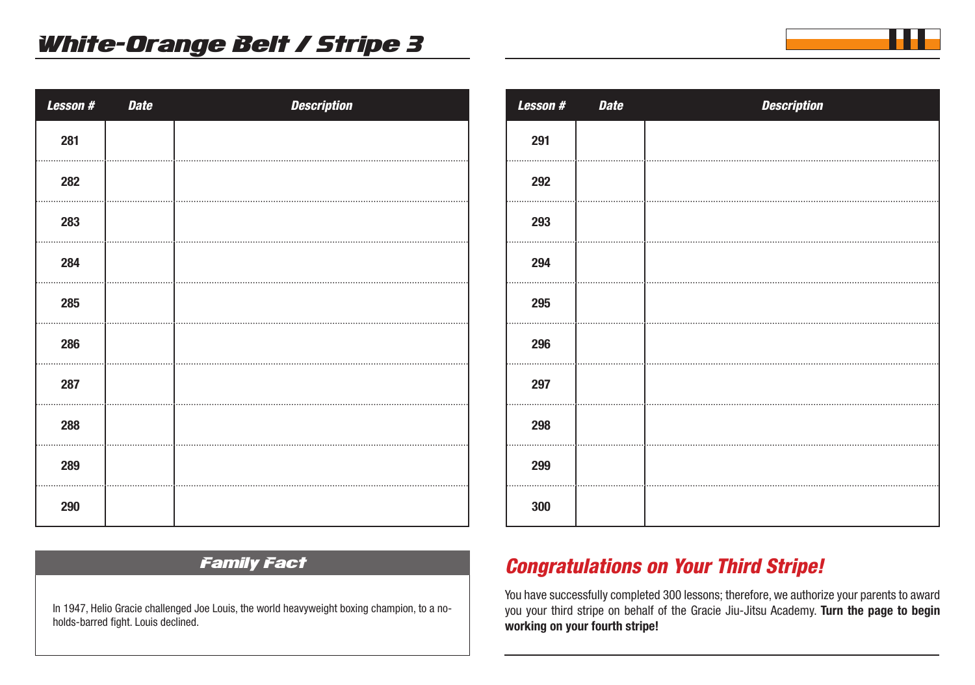| Lesson # | <b>Date</b> | <b>Description</b> |
|----------|-------------|--------------------|
| 281      |             |                    |
| 282      |             |                    |
| 283      |             |                    |
| 284      |             |                    |
| 285      |             |                    |
| 286      |             |                    |
| 287      |             |                    |
| 288      |             |                    |
| 289      |             |                    |
| 290      |             |                    |

| Lesson # | <b>Date</b> | <b>Description</b> |
|----------|-------------|--------------------|
| 291      |             |                    |
| 292      |             |                    |
| 293      |             |                    |
| 294      |             |                    |
| 295      |             |                    |
| 296      |             |                    |
| 297      |             |                    |
| 298      |             |                    |
| 299      |             |                    |
| 300      |             |                    |

### Family Fact

In 1947, Helio Gracie challenged Joe Louis, the world heavyweight boxing champion, to a noholds-barred fight. Louis declined.

## *Congratulations on Your Third Stripe!*

You have successfully completed 300 lessons; therefore, we authorize your parents to award you your third stripe on behalf of the Gracie Jiu-Jitsu Academy. **Turn the page to begin working on your fourth stripe!**

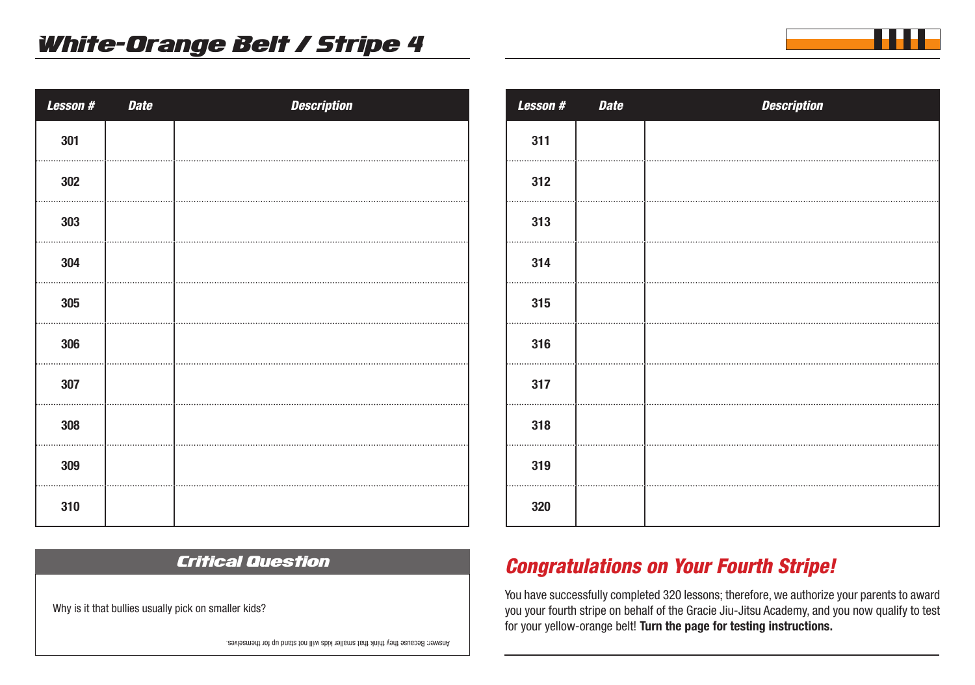| Lesson # | <b>Date</b> | <b>Description</b> |
|----------|-------------|--------------------|
| 301      |             |                    |
| 302      |             |                    |
| 303      |             |                    |
| 304      |             |                    |
| 305      |             |                    |
| 306      |             |                    |
| 307      |             |                    |
| 308      |             |                    |
| 309      |             |                    |
| 310      |             |                    |

Critical Question

| <b>Lesson#</b> | <b>Date</b> | <b>Description</b> |
|----------------|-------------|--------------------|
| 311            |             |                    |
| 312            |             |                    |
| 313            |             |                    |
| 314            |             |                    |
| 315            |             |                    |
| 316            |             |                    |
| 317            |             |                    |
| 318            |             |                    |
| 319            |             |                    |
| 320            |             |                    |

## *Congratulations on Your Fourth Stripe!*

You have successfully completed 320 lessons; therefore, we authorize your parents to award you your fourth stripe on behalf of the Gracie Jiu-Jitsu Academy, and you now qualify to test for your yellow-orange belt! **Turn the page for testing instructions.** 

Why is it that bullies usually pick on smaller kids?

Answer: Because they think that smaller kids will not stand up for themselves.

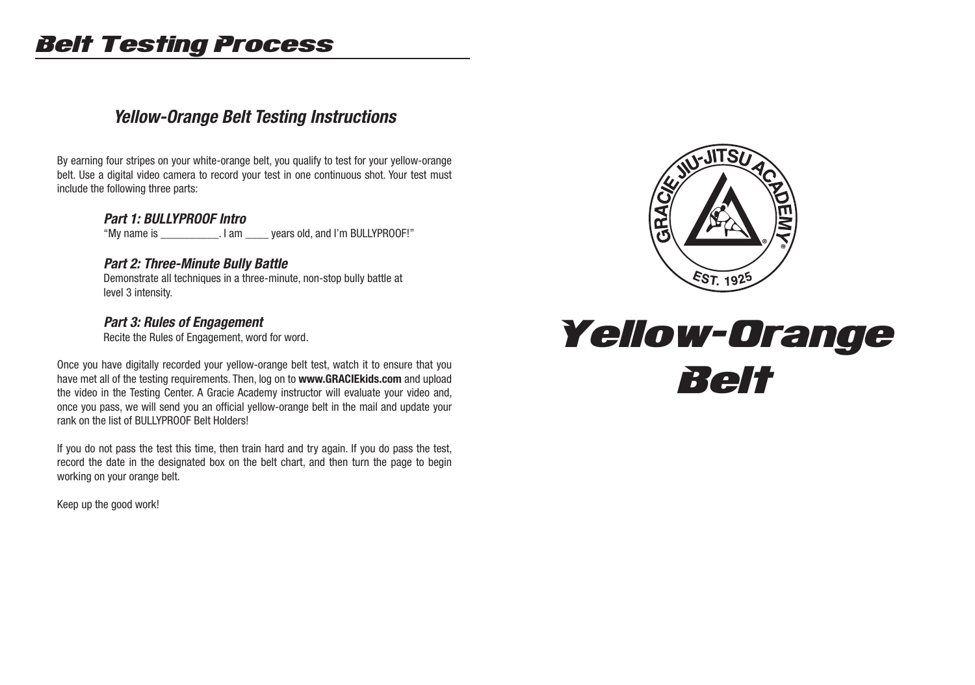# Belt Testing Process

## *Yellow-Orange Belt Testing Instructions*

By earning four stripes on your white-orange belt, you qualify to test for your yellow-orange belt. Use a digital video camera to record your test in one continuous shot. Your test must include the following three parts:

#### *Part 1: BULLYPROOF Intro*

"My name is \_\_\_\_\_\_\_\_\_\_. I am \_\_\_\_ years old, and I'm BULLYPROOF!"

#### *Part 2: Three-Minute Bully Battle*

 Demonstrate all techniques in a three-minute, non-stop bully battle at level 3 intensity.

#### *Part 3: Rules of Engagement*

Recite the Rules of Engagement, word for word.

Once you have digitally recorded your yellow-orange belt test, watch it to ensure that you have met all of the testing requirements. Then, log on to **www.GRACIEkids.com** and upload the video in the Testing Center. A Gracie Academy instructor will evaluate your video and, once you pass, we will send you an official yellow-orange belt in the mail and update your rank on the list of BULLYPROOF Belt Holders!

If you do not pass the test this time, then train hard and try again. If you do pass the test, record the date in the designated box on the belt chart, and then turn the page to begin working on your orange belt.

Keep up the good work!



# Yellow-Orange Belt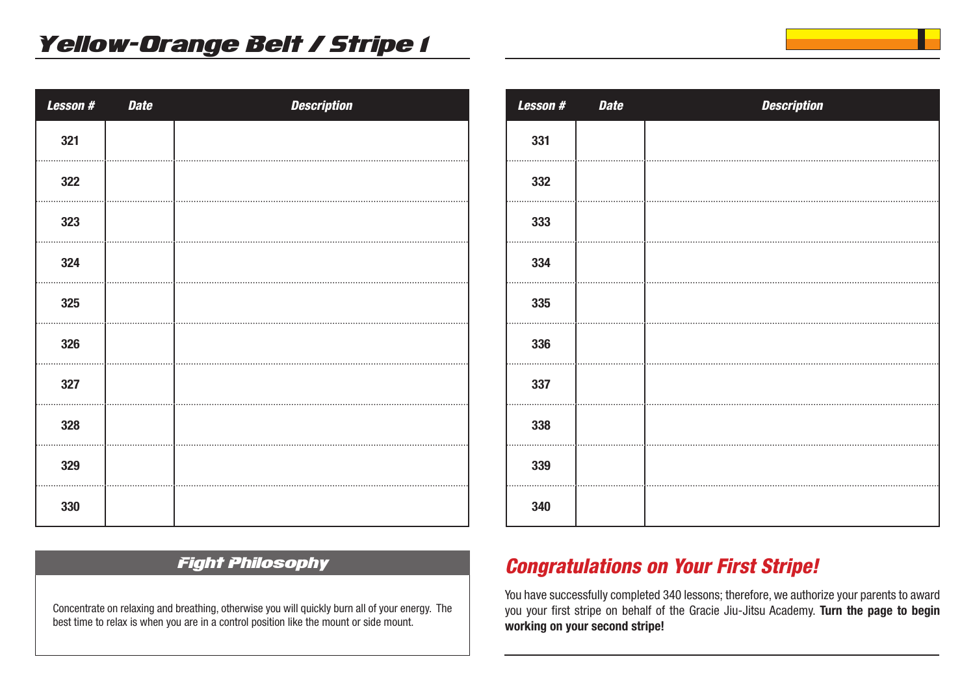| <b>Lesson#</b> | <b>Date</b> | <b>Description</b> |
|----------------|-------------|--------------------|
| 321            |             |                    |
| 322            |             |                    |
| 323            |             |                    |
| 324            |             |                    |
| 325            |             |                    |
| 326            |             |                    |
| 327            |             |                    |
| 328            |             |                    |
| 329            |             |                    |
| 330            |             |                    |

| <b>Lesson#</b> | <b>Date</b> | <b>Description</b> |
|----------------|-------------|--------------------|
| 331            |             |                    |
| 332            |             |                    |
| 333            |             |                    |
| 334            |             |                    |
| 335            |             |                    |
| 336            |             |                    |
| 337            |             |                    |
| 338            |             |                    |
| 339            |             |                    |
| 340            |             |                    |

## Fight Philosophy

Concentrate on relaxing and breathing, otherwise you will quickly burn all of your energy. The best time to relax is when you are in a control position like the mount or side mount.

## *Congratulations on Your First Stripe!*

You have successfully completed 340 lessons; therefore, we authorize your parents to award you your first stripe on behalf of the Gracie Jiu-Jitsu Academy. **Turn the page to begin working on your second stripe!**

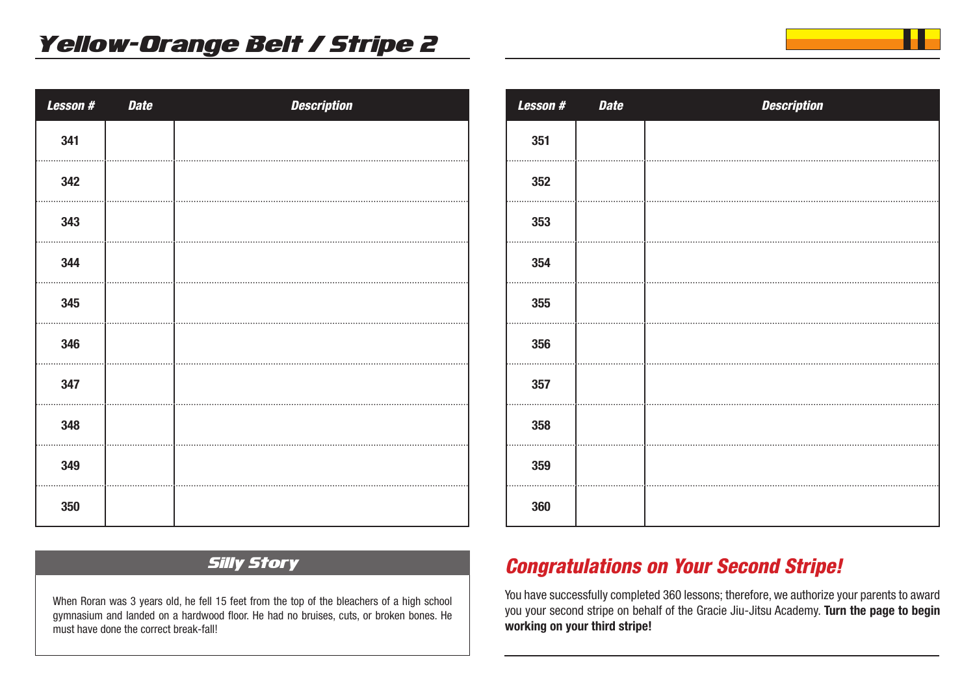| Lesson # | <b>Date</b> | <b>Description</b> |
|----------|-------------|--------------------|
| 341      |             |                    |
| 342      |             |                    |
| 343      |             |                    |
| 344      |             |                    |
| 345      |             |                    |
| 346      |             |                    |
| 347      |             |                    |
| 348      |             |                    |
| 349      |             |                    |
| 350      |             |                    |

| <b>Lesson#</b> | <b>Date</b> | <b>Description</b> |
|----------------|-------------|--------------------|
| 351            |             |                    |
| 352            |             |                    |
| 353            |             |                    |
| 354            |             |                    |
| 355            |             |                    |
| 356            |             |                    |
| 357            |             |                    |
| 358            |             |                    |
| 359            |             |                    |
| 360            |             |                    |

## Silly Story

When Roran was 3 years old, he fell 15 feet from the top of the bleachers of a high school gymnasium and landed on a hardwood floor. He had no bruises, cuts, or broken bones. He must have done the correct break-fall!

## *Congratulations on Your Second Stripe!*

You have successfully completed 360 lessons; therefore, we authorize your parents to award you your second stripe on behalf of the Gracie Jiu-Jitsu Academy. **Turn the page to begin working on your third stripe!**

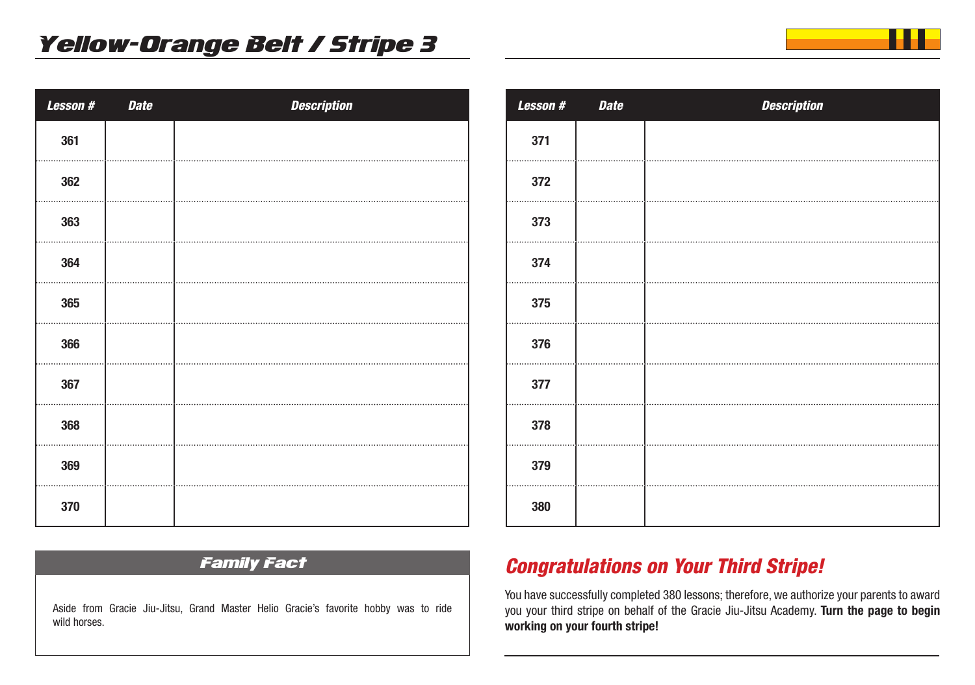| <b>Lesson#</b> | <b>Date</b> | <b>Description</b> |
|----------------|-------------|--------------------|
| 361            |             |                    |
| 362            |             |                    |
| 363            |             |                    |
| 364            |             |                    |
| 365            |             |                    |
| 366            |             |                    |
| 367            |             |                    |
| 368            |             |                    |
| 369            |             |                    |
| 370            |             |                    |

| Lesson # | <b>Date</b> | <b>Description</b> |
|----------|-------------|--------------------|
| 371      |             |                    |
| 372      |             |                    |
| 373      |             |                    |
| 374      |             |                    |
| 375      |             |                    |
| 376      |             |                    |
| 377      |             |                    |
| 378      |             |                    |
| 379      |             |                    |
| 380      |             |                    |

### Family Fact

Aside from Gracie Jiu-Jitsu, Grand Master Helio Gracie's favorite hobby was to ride wild horses.

## *Congratulations on Your Third Stripe!*

You have successfully completed 380 lessons; therefore, we authorize your parents to award you your third stripe on behalf of the Gracie Jiu-Jitsu Academy. **Turn the page to begin working on your fourth stripe!**

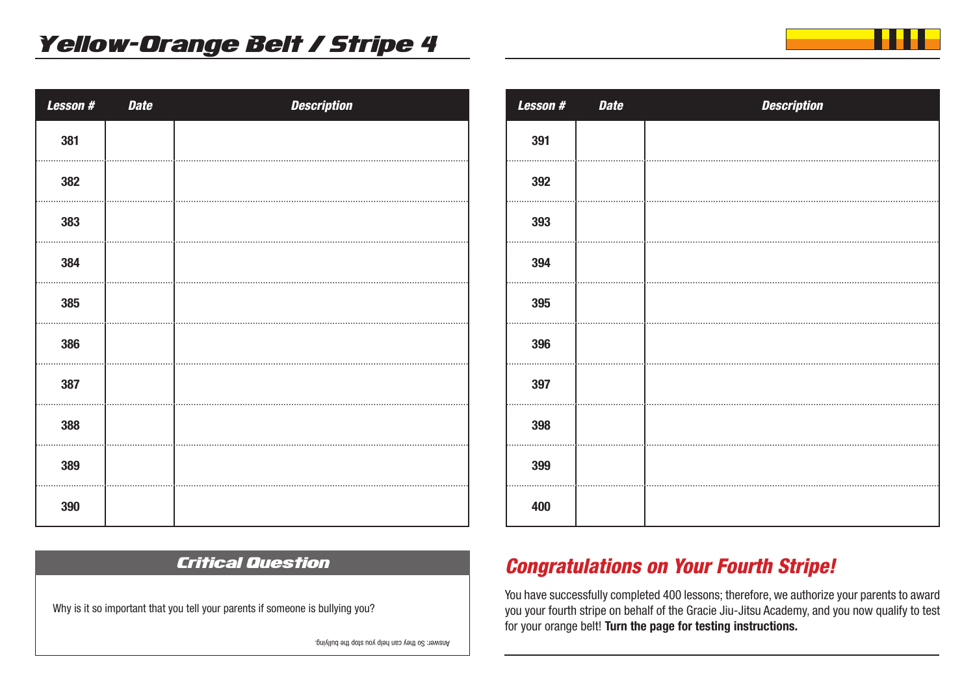| Lesson # | <b>Date</b> | <b>Description</b> |
|----------|-------------|--------------------|
| 381      |             |                    |
| 382      |             |                    |
| 383      |             |                    |
| 384      |             |                    |
| 385      |             |                    |
| 386      |             |                    |
| 387      |             |                    |
| 388      |             |                    |
| 389      |             |                    |
| 390      |             |                    |

| Lesson # | <b>Date</b> | <b>Description</b> |
|----------|-------------|--------------------|
| 391      |             |                    |
| 392      |             |                    |
| 393      |             |                    |
| 394      |             |                    |
| 395      |             |                    |
| 396      |             |                    |
| 397      |             |                    |
| 398      |             |                    |
| 399      |             |                    |
| 400      |             |                    |

### Critical Question

Why is it so important that you tell your parents if someone is bullying you?

Answer: So they can help you stop the bulying.

## *Congratulations on Your Fourth Stripe!*

You have successfully completed 400 lessons; therefore, we authorize your parents to award you your fourth stripe on behalf of the Gracie Jiu-Jitsu Academy, and you now qualify to test for your orange belt! **Turn the page for testing instructions.** 

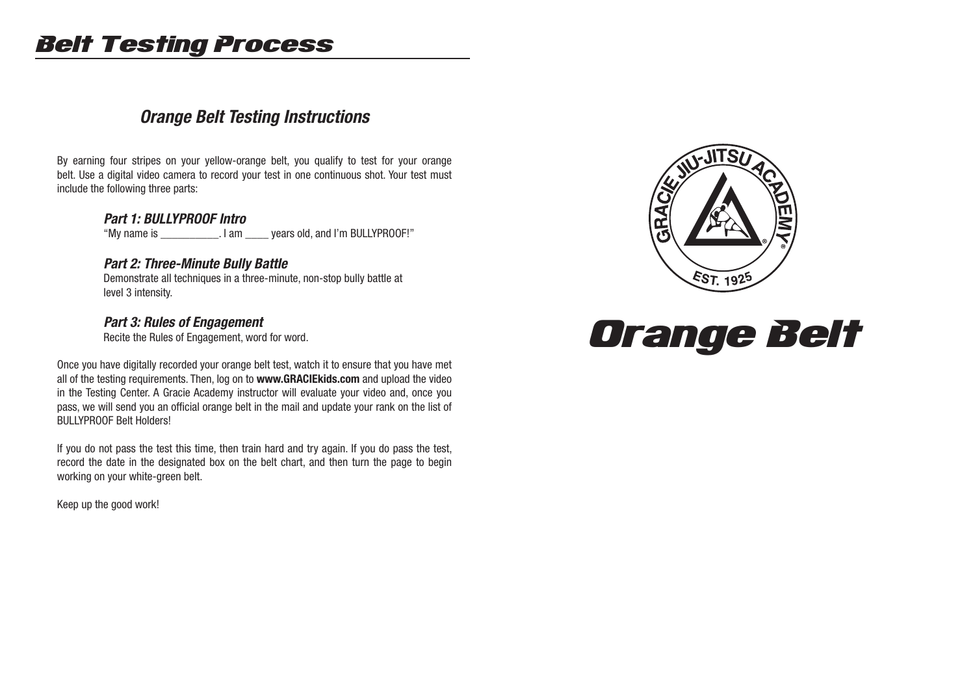# Belt Testing Process

## *Orange Belt Testing Instructions*

By earning four stripes on your yellow-orange belt, you qualify to test for your orange belt. Use a digital video camera to record your test in one continuous shot. Your test must include the following three parts:

#### *Part 1: BULLYPROOF Intro*

"My name is \_\_\_\_\_\_\_\_\_\_. I am \_\_\_\_ years old, and I'm BULLYPROOF!"

#### *Part 2: Three-Minute Bully Battle*

 Demonstrate all techniques in a three-minute, non-stop bully battle at level 3 intensity.

#### *Part 3: Rules of Engagement*

Recite the Rules of Engagement, word for word.

Once you have digitally recorded your orange belt test, watch it to ensure that you have met all of the testing requirements. Then, log on to **www.GRACIEkids.com** and upload the video in the Testing Center. A Gracie Academy instructor will evaluate your video and, once you pass, we will send you an official orange belt in the mail and update your rank on the list of BULLYPROOF Belt Holders!

If you do not pass the test this time, then train hard and try again. If you do pass the test, record the date in the designated box on the belt chart, and then turn the page to begin working on your white-green belt.

Keep up the good work!



# Orange Belt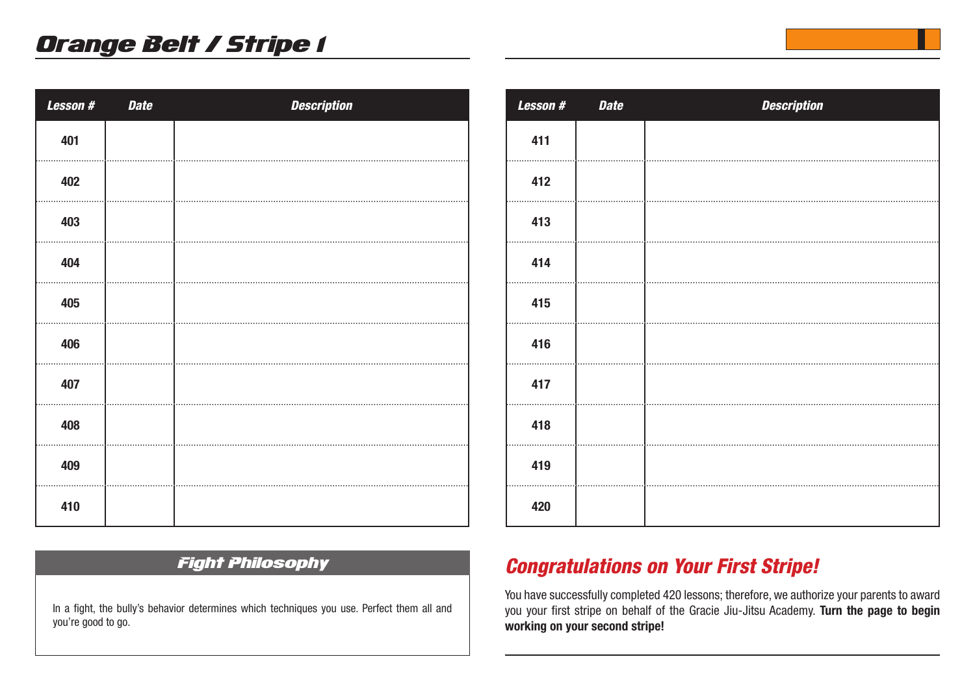| Lesson # | <b>Date</b> | <b>Description</b> |
|----------|-------------|--------------------|
| 401      |             |                    |
| 402      |             |                    |
| 403      |             |                    |
| 404      |             |                    |
| 405      |             |                    |
| 406      |             |                    |
| 407      |             |                    |
| 408      |             |                    |
| 409      |             |                    |
| 410      |             |                    |

| Lesson # | <b>Date</b> | <b>Description</b> |
|----------|-------------|--------------------|
| 411      |             |                    |
| 412      |             |                    |
| 413      |             |                    |
| 414      |             |                    |
| 415      |             |                    |
| 416      |             |                    |
| 417      |             |                    |
| 418      |             |                    |
| 419      |             |                    |
| 420      |             |                    |

### Fight Philosophy

In a fight, the bully's behavior determines which techniques you use. Perfect them all and you're good to go.

## *Congratulations on Your First Stripe!*

You have successfully completed 420 lessons; therefore, we authorize your parents to award you your first stripe on behalf of the Gracie Jiu-Jitsu Academy. **Turn the page to begin working on your second stripe!**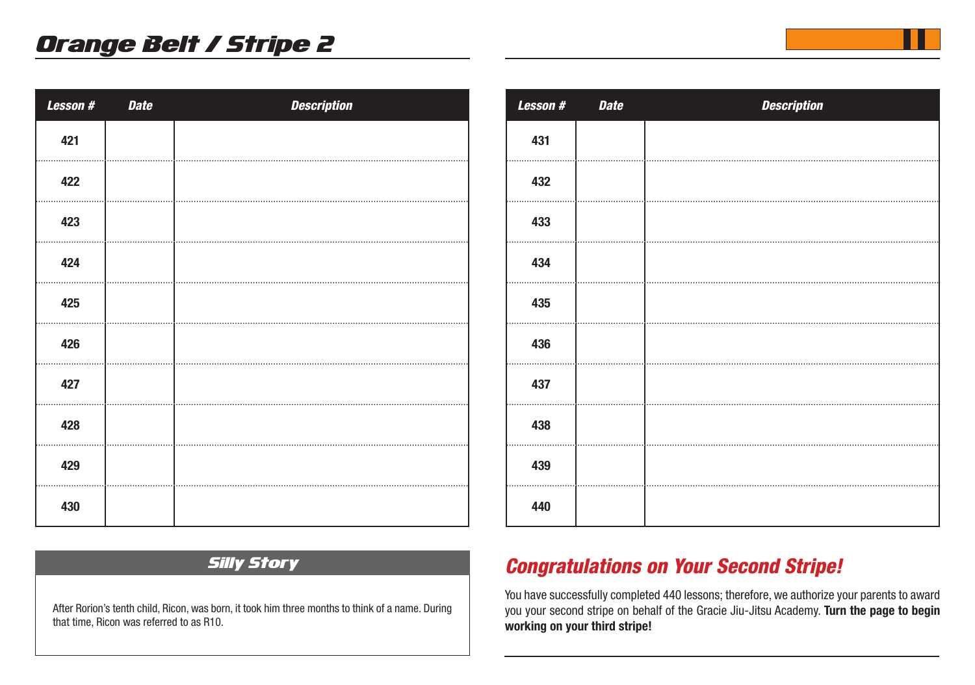| <b>Lesson#</b> | <b>Date</b> | <b>Description</b> |
|----------------|-------------|--------------------|
| 421            |             |                    |
| 422            |             |                    |
| 423            |             |                    |
| 424            |             |                    |
| 425            |             |                    |
| 426            |             |                    |
| 427            |             |                    |
| 428            |             |                    |
| 429            |             |                    |
| 430            |             |                    |

| Lesson # | <b>Date</b> | <b>Description</b> |
|----------|-------------|--------------------|
| 431      |             |                    |
| 432      |             |                    |
| 433      |             |                    |
| 434      |             |                    |
| 435      |             |                    |
| 436      |             |                    |
| 437      |             |                    |
| 438      |             |                    |
| 439      |             |                    |
| 440      |             |                    |

#### Silly Story

After Rorion's tenth child, Ricon, was born, it took him three months to think of a name. During that time, Ricon was referred to as R10.

## *Congratulations on Your Second Stripe!*

You have successfully completed 440 lessons; therefore, we authorize your parents to award you your second stripe on behalf of the Gracie Jiu-Jitsu Academy. **Turn the page to begin working on your third stripe!**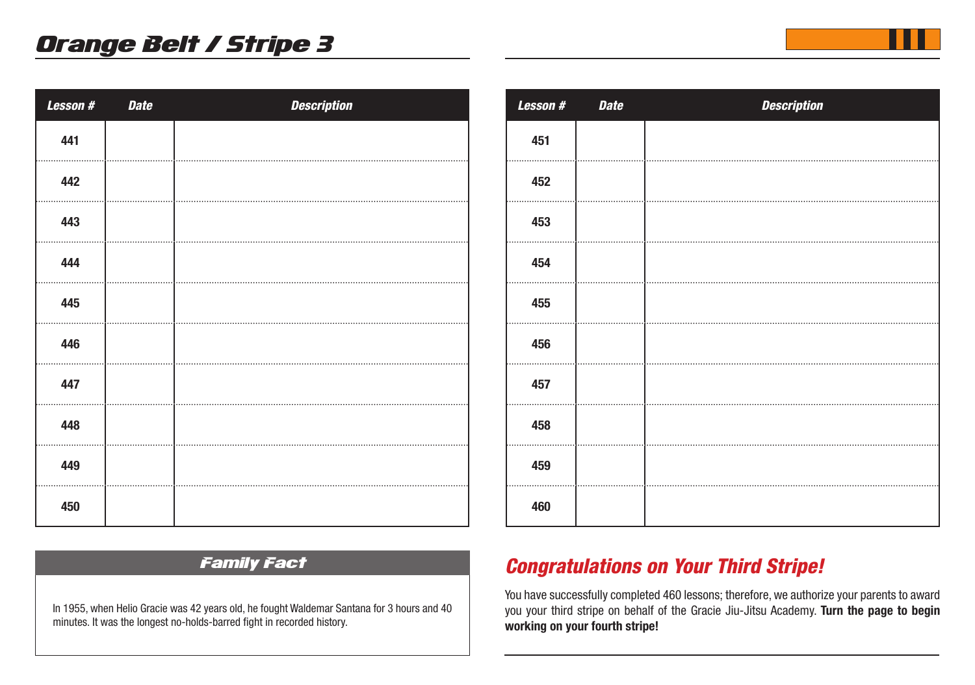| <b>Lesson#</b> | <b>Date</b> | <b>Description</b> |
|----------------|-------------|--------------------|
| 441            |             |                    |
| 442            |             |                    |
| 443            |             |                    |
| 444            |             |                    |
| 445            |             |                    |
| 446            |             |                    |
| 447            |             |                    |
| 448            |             |                    |
| 449            |             |                    |
| 450            |             |                    |

| <b>Lesson#</b> | <b>Date</b> | <b>Description</b> |
|----------------|-------------|--------------------|
| 451            |             |                    |
| 452            |             |                    |
| 453            |             |                    |
| 454            |             |                    |
| 455            |             |                    |
| 456            |             |                    |
| 457            |             |                    |
| 458            |             |                    |
| 459            |             |                    |
| 460            |             |                    |

#### Family Fact

In 1955, when Helio Gracie was 42 years old, he fought Waldemar Santana for 3 hours and 40 minutes. It was the longest no-holds-barred fight in recorded history.

## *Congratulations on Your Third Stripe!*

You have successfully completed 460 lessons; therefore, we authorize your parents to award you your third stripe on behalf of the Gracie Jiu-Jitsu Academy. **Turn the page to begin working on your fourth stripe!**

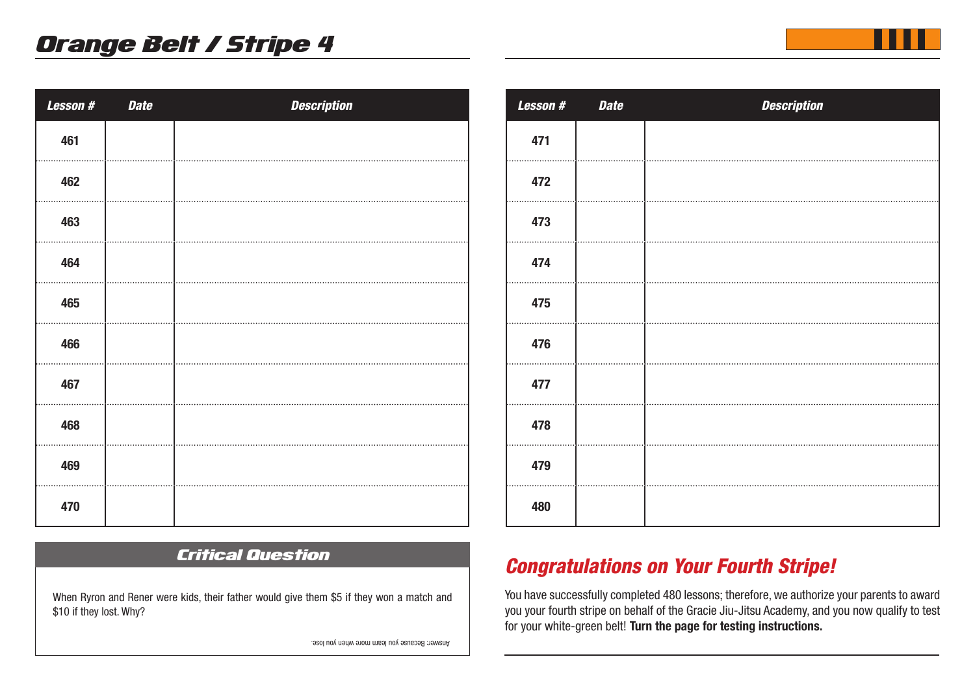| <b>Lesson#</b> | <b>Date</b> | <b>Description</b> |
|----------------|-------------|--------------------|
| 461            |             |                    |
| 462            |             |                    |
| 463            |             |                    |
| 464            |             |                    |
| 465            |             |                    |
| 466            |             |                    |
| 467            |             |                    |
| 468            |             |                    |
| 469            |             |                    |
| 470            |             |                    |

## Critical Question

When Ryron and Rener were kids, their father would give them \$5 if they won a match and \$10 if they lost. Why?

*Lesson # Date Description* 

## *Congratulations on Your Fourth Stripe!*

You have successfully completed 480 lessons; therefore, we authorize your parents to award you your fourth stripe on behalf of the Gracie Jiu-Jitsu Academy, and you now qualify to test for your white-green belt! **Turn the page for testing instructions.** 

Answer: Because you learn more when you lose.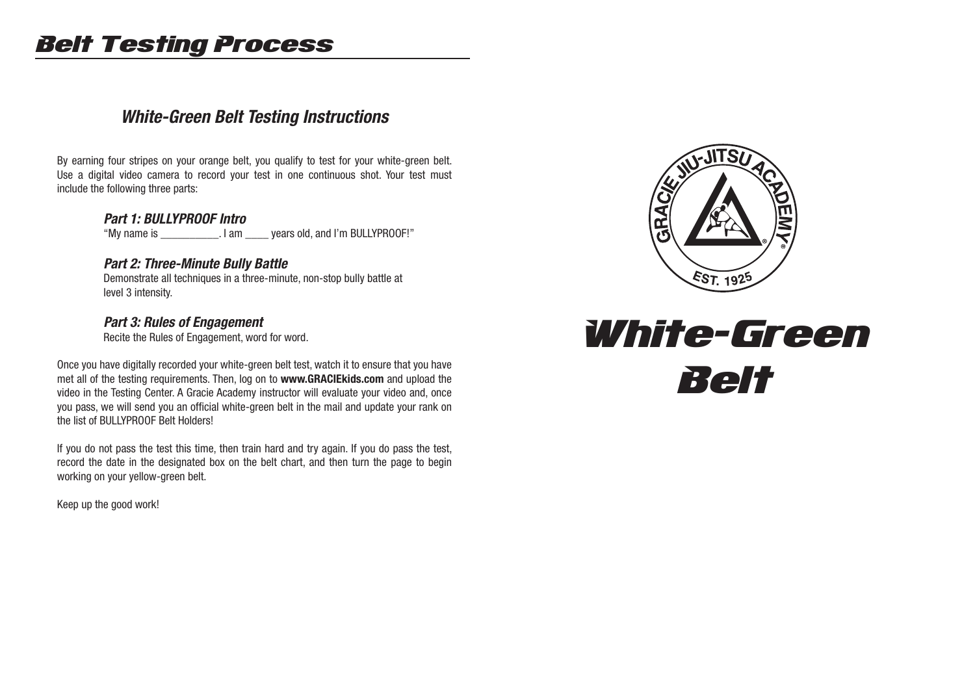# Belt Testing Process

## *White-Green Belt Testing Instructions*

By earning four stripes on your orange belt, you qualify to test for your white-green belt. Use a digital video camera to record your test in one continuous shot. Your test must include the following three parts:

#### *Part 1: BULLYPROOF Intro*

"My name is \_\_\_\_\_\_\_\_\_\_. I am \_\_\_\_ years old, and I'm BULLYPROOF!"

#### *Part 2: Three-Minute Bully Battle*

 Demonstrate all techniques in a three-minute, non-stop bully battle at level 3 intensity.

#### *Part 3: Rules of Engagement*

Recite the Rules of Engagement, word for word.

Once you have digitally recorded your white-green belt test, watch it to ensure that you have met all of the testing requirements. Then, log on to **www.GRACIEkids.com** and upload the video in the Testing Center. A Gracie Academy instructor will evaluate your video and, once you pass, we will send you an official white-green belt in the mail and update your rank on the list of BULLYPROOF Belt Holders!

If you do not pass the test this time, then train hard and try again. If you do pass the test, record the date in the designated box on the belt chart, and then turn the page to begin working on your yellow-green belt.

Keep up the good work!



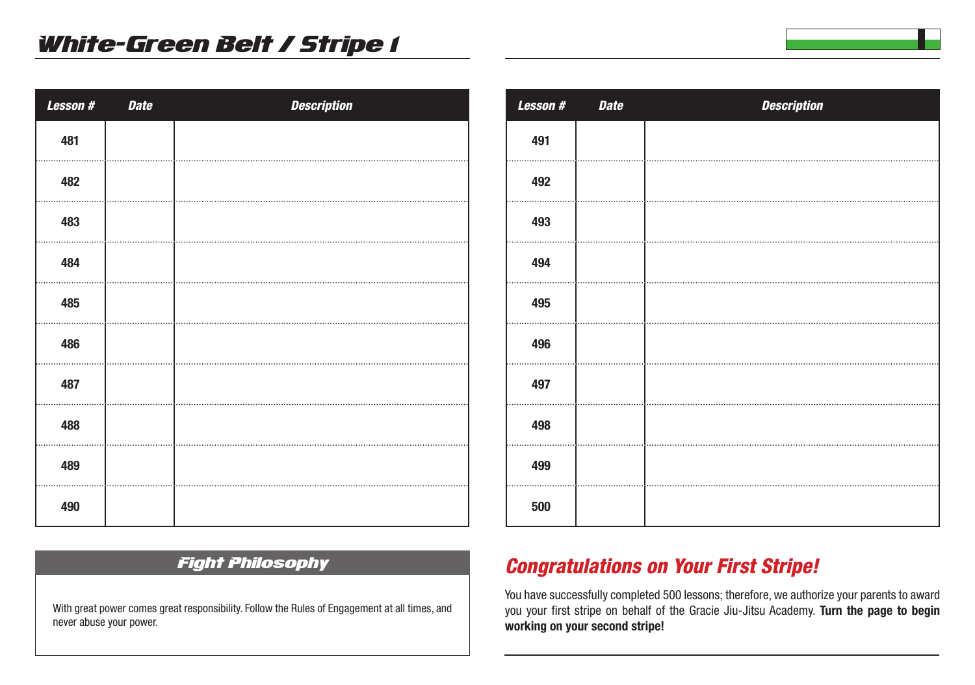| Lesson # | <b>Date</b> | <b>Description</b> |
|----------|-------------|--------------------|
| 481      |             |                    |
| 482      |             |                    |
| 483      |             |                    |
| 484      |             |                    |
| 485      |             |                    |
| 486      |             |                    |
| 487      |             |                    |
| 488      |             |                    |
| 489      |             |                    |
| 490      |             |                    |

| Lesson # | <b>Date</b> | <b>Description</b> |
|----------|-------------|--------------------|
| 491      |             |                    |
| 492      |             |                    |
| 493      |             |                    |
| 494      |             |                    |
| 495      |             |                    |
| 496      |             |                    |
| 497      |             |                    |
| 498      |             |                    |
| 499      |             |                    |
| 500      |             |                    |

### Fight Philosophy

With great power comes great responsibility. Follow the Rules of Engagement at all times, and never abuse your power.

## *Congratulations on Your First Stripe!*

You have successfully completed 500 lessons; therefore, we authorize your parents to award you your first stripe on behalf of the Gracie Jiu-Jitsu Academy. **Turn the page to begin working on your second stripe!**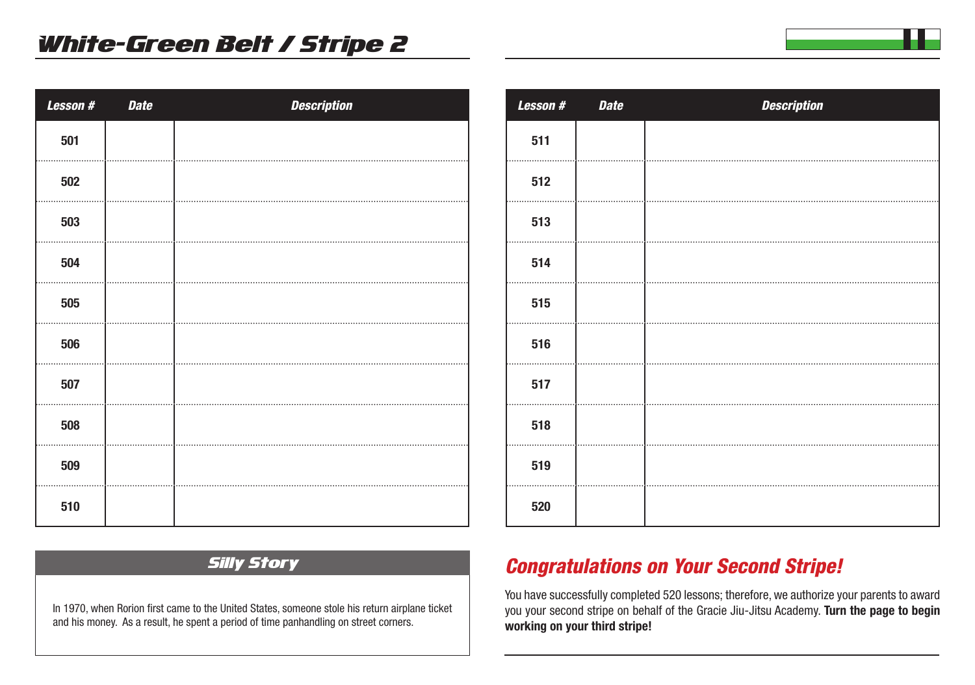| Lesson # | <b>Date</b> | <b>Description</b> |
|----------|-------------|--------------------|
| 501      |             |                    |
| 502      |             |                    |
| 503      |             |                    |
| 504      |             |                    |
| 505      |             |                    |
| 506      |             |                    |
| 507      |             |                    |
| 508      |             |                    |
| 509      |             |                    |
| 510      |             |                    |

| Lesson # | <b>Date</b> | <b>Description</b> |
|----------|-------------|--------------------|
| 511      |             |                    |
| 512      |             |                    |
| 513      |             |                    |
| 514      |             |                    |
| 515      |             |                    |
| 516      |             |                    |
| 517      |             |                    |
| 518      |             |                    |
| 519      |             |                    |
| 520      |             |                    |
|          |             |                    |

### Silly Story

In 1970, when Rorion first came to the United States, someone stole his return airplane ticket and his money. As a result, he spent a period of time panhandling on street corners.

## *Congratulations on Your Second Stripe!*

You have successfully completed 520 lessons; therefore, we authorize your parents to award you your second stripe on behalf of the Gracie Jiu-Jitsu Academy. **Turn the page to begin working on your third stripe!**

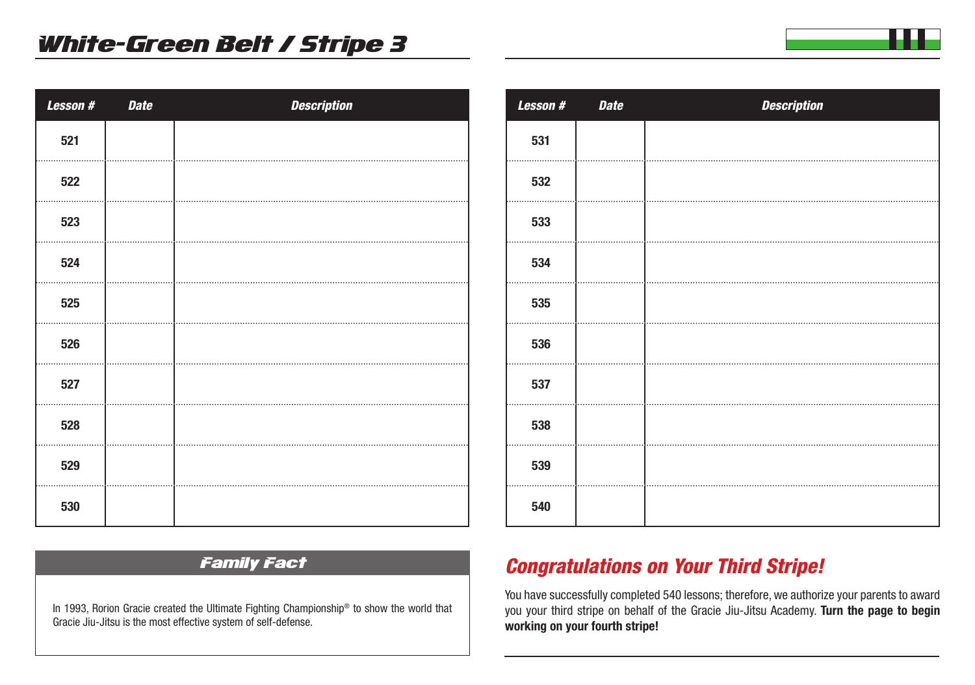| Lesson # | <b>Date</b> | <b>Description</b> |
|----------|-------------|--------------------|
| 521      |             |                    |
| 522      |             |                    |
| 523      |             |                    |
| 524      |             |                    |
| 525      |             |                    |
| 526      |             |                    |
| 527      |             |                    |
| 528      |             |                    |
| 529      |             |                    |
| 530      |             |                    |

# *Lesson # Date Description*

#### Family Fact

In 1993, Rorion Gracie created the Ultimate Fighting Championship® to show the world that Gracie Jiu-Jitsu is the most effective system of self-defense.

# *Congratulations on Your Third Stripe!*

You have successfully completed 540 lessons; therefore, we authorize your parents to award you your third stripe on behalf of the Gracie Jiu-Jitsu Academy. **Turn the page to begin working on your fourth stripe!**

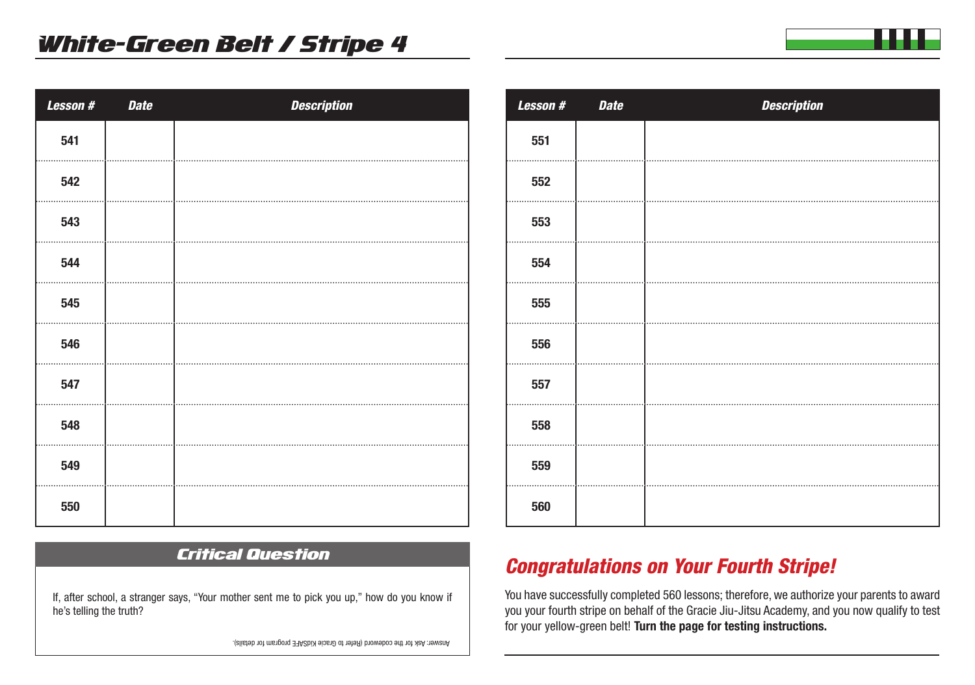| <b>Lesson#</b> | <b>Date</b> | <b>Description</b> |
|----------------|-------------|--------------------|
| 541            |             |                    |
| 542            |             |                    |
| 543            |             |                    |
| 544            |             |                    |
| 545            |             |                    |
| 546            |             |                    |
| 547            |             |                    |
| 548            |             |                    |
| 549            |             |                    |
| 550            |             |                    |

## Critical Question

If, after school, a stranger says, "Your mother sent me to pick you up," how do you know if he's telling the truth?

*Lesson # Date Description* 

## *Congratulations on Your Fourth Stripe!*

You have successfully completed 560 lessons; therefore, we authorize your parents to award you your fourth stripe on behalf of the Gracie Jiu-Jitsu Academy, and you now qualify to test for your yellow-green belt! **Turn the page for testing instructions.** 

Answer: Ask for the codeword (Refer to Gracie KidSAFE program for details).

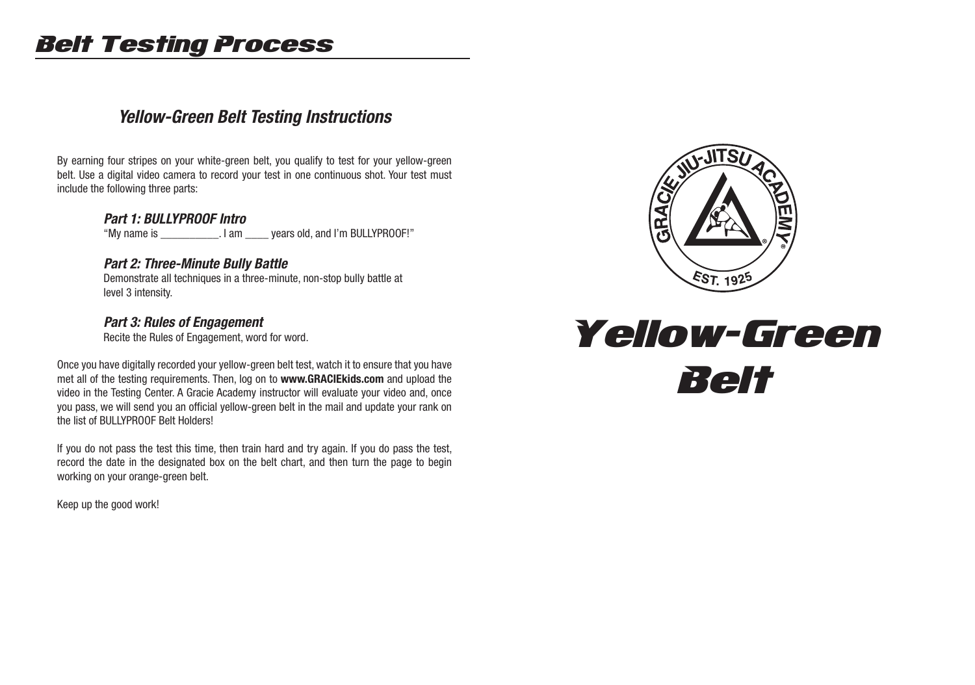# Belt Testing Process

## *Yellow-Green Belt Testing Instructions*

By earning four stripes on your white-green belt, you qualify to test for your yellow-green belt. Use a digital video camera to record your test in one continuous shot. Your test must include the following three parts:

#### *Part 1: BULLYPROOF Intro*

"My name is \_\_\_\_\_\_\_\_\_\_. I am \_\_\_\_ years old, and I'm BULLYPROOF!"

#### *Part 2: Three-Minute Bully Battle*

 Demonstrate all techniques in a three-minute, non-stop bully battle at level 3 intensity.

#### *Part 3: Rules of Engagement*

Recite the Rules of Engagement, word for word.

Once you have digitally recorded your yellow-green belt test, watch it to ensure that you have met all of the testing requirements. Then, log on to **www.GRACIEkids.com** and upload the video in the Testing Center. A Gracie Academy instructor will evaluate your video and, once you pass, we will send you an official yellow-green belt in the mail and update your rank on the list of BULLYPROOF Belt Holders!

If you do not pass the test this time, then train hard and try again. If you do pass the test, record the date in the designated box on the belt chart, and then turn the page to begin working on your orange-green belt.

Keep up the good work!



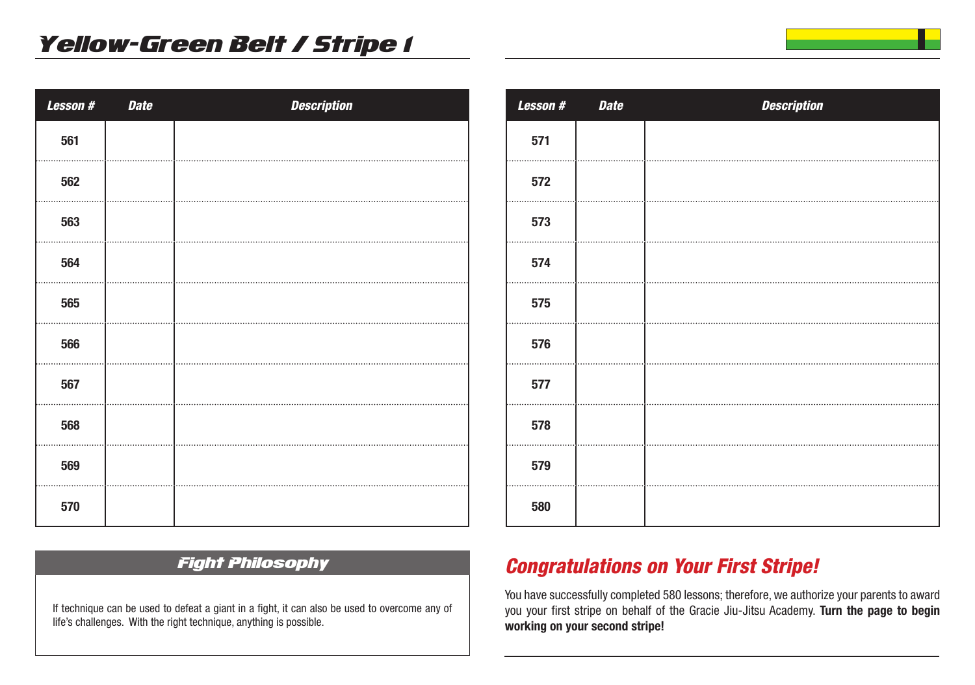| Lesson # | <b>Date</b> | <b>Description</b> |
|----------|-------------|--------------------|
| 561      |             |                    |
| 562      |             |                    |
| 563      |             |                    |
| 564      |             |                    |
| 565      |             |                    |
| 566      |             |                    |
| 567      |             |                    |
| 568      |             |                    |
| 569      |             |                    |
| 570      |             |                    |

| <b>Lesson#</b> | <b>Date</b> | <b>Description</b> |
|----------------|-------------|--------------------|
| 571            |             |                    |
| 572            |             |                    |
| 573            |             |                    |
| 574            |             |                    |
| 575            |             |                    |
| 576            |             |                    |
| 577            |             |                    |
| 578            |             |                    |
| 579            |             |                    |
| 580            |             |                    |

### Fight Philosophy

If technique can be used to defeat a giant in a fight, it can also be used to overcome any of life's challenges. With the right technique, anything is possible.

## *Congratulations on Your First Stripe!*

You have successfully completed 580 lessons; therefore, we authorize your parents to award you your first stripe on behalf of the Gracie Jiu-Jitsu Academy. **Turn the page to begin working on your second stripe!**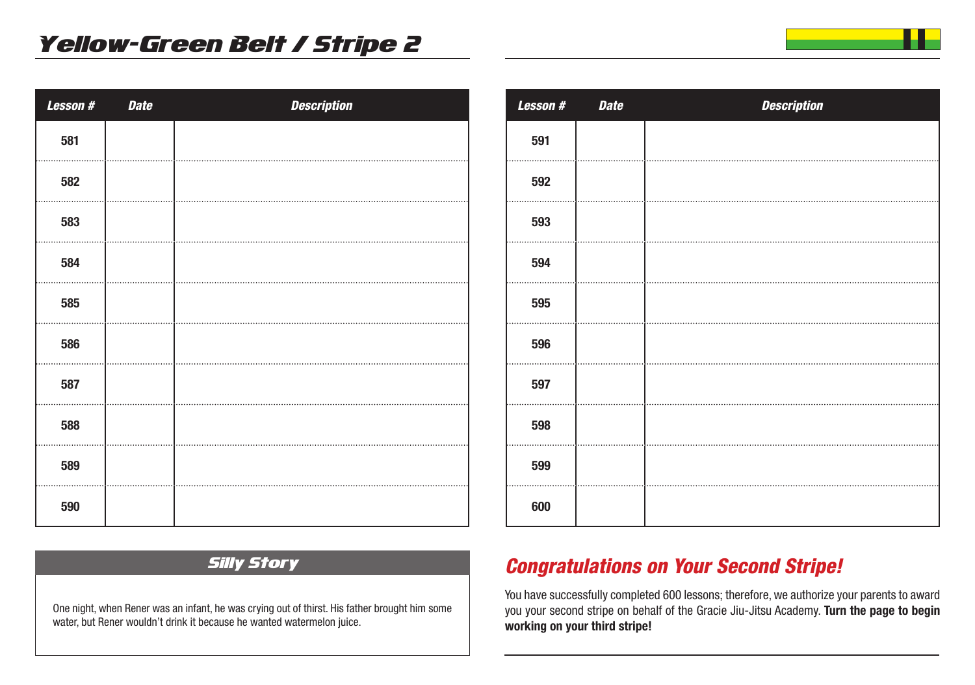| Lesson # | <b>Date</b> | <b>Description</b> |
|----------|-------------|--------------------|
| 581      |             |                    |
| 582      |             |                    |
| 583      |             |                    |
| 584      |             |                    |
| 585      |             |                    |
| 586      |             |                    |
| 587      |             |                    |
| 588      |             |                    |
| 589      |             |                    |
| 590      |             |                    |

| <b>Lesson#</b> | <b>Date</b> | <b>Description</b> |
|----------------|-------------|--------------------|
| 591            |             |                    |
| 592            |             |                    |
| 593            |             |                    |
| 594            |             |                    |
| 595            |             |                    |
| 596            |             |                    |
| 597            |             |                    |
| 598            |             |                    |
| 599            |             |                    |
| 600            |             |                    |

### Silly Story

One night, when Rener was an infant, he was crying out of thirst. His father brought him some water, but Rener wouldn't drink it because he wanted watermelon juice.

## *Congratulations on Your Second Stripe!*

You have successfully completed 600 lessons; therefore, we authorize your parents to award you your second stripe on behalf of the Gracie Jiu-Jitsu Academy. **Turn the page to begin working on your third stripe!**

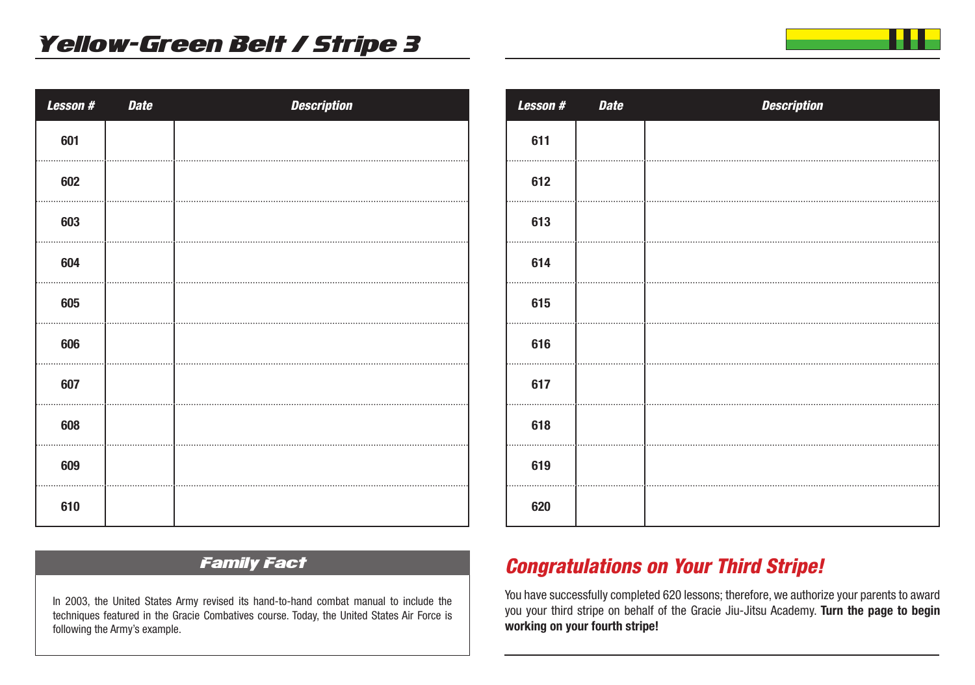| Lesson # | <b>Date</b> | <b>Description</b> |
|----------|-------------|--------------------|
| 601      |             |                    |
| 602      |             |                    |
| 603      |             |                    |
| 604      |             |                    |
| 605      |             |                    |
| 606      |             |                    |
| 607      |             |                    |
| 608      |             |                    |
| 609      |             |                    |
| 610      |             |                    |

| Lesson # | <b>Date</b> | <b>Description</b> |
|----------|-------------|--------------------|
| 611      |             |                    |
| 612      |             |                    |
| 613      |             |                    |
| 614      |             |                    |
| 615      |             |                    |
| 616      |             |                    |
| 617      |             |                    |
| 618      |             |                    |
| 619      |             |                    |
| 620      |             |                    |

## Family Fact

In 2003, the United States Army revised its hand-to-hand combat manual to include the techniques featured in the Gracie Combatives course. Today, the United States Air Force is following the Army's example.

## *Congratulations on Your Third Stripe!*

You have successfully completed 620 lessons; therefore, we authorize your parents to award you your third stripe on behalf of the Gracie Jiu-Jitsu Academy. **Turn the page to begin working on your fourth stripe!**

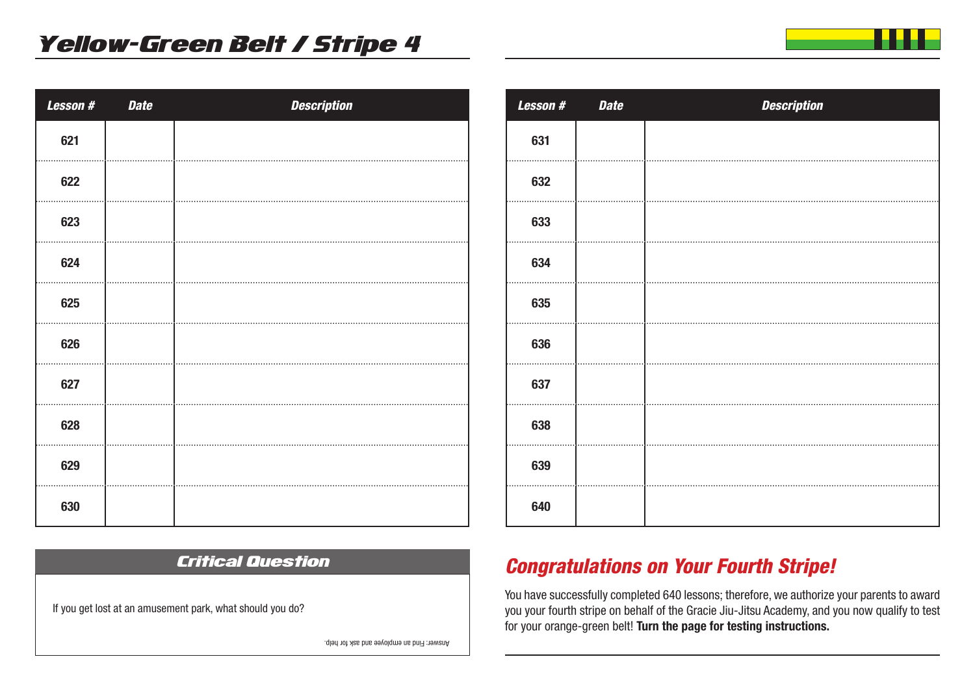| Lesson # | <b>Date</b> | <b>Description</b> |
|----------|-------------|--------------------|
| 621      |             |                    |
| 622      |             |                    |
| 623      |             |                    |
| 624      |             |                    |
| 625      |             |                    |
| 626      |             |                    |
| 627      |             |                    |
| 628      |             |                    |
| 629      |             |                    |
| 630      |             |                    |

Critical Question

If you get lost at an amusement park, what should you do?

| Lesson # | <b>Date</b> | <b>Description</b> |
|----------|-------------|--------------------|
| 631      |             |                    |
| 632      |             |                    |
| 633      |             |                    |
| 634      |             |                    |
| 635      |             |                    |
| 636      |             |                    |
| 637      |             |                    |
| 638      |             |                    |
| 639      |             |                    |
| 640      |             |                    |

## *Congratulations on Your Fourth Stripe!*

You have successfully completed 640 lessons; therefore, we authorize your parents to award you your fourth stripe on behalf of the Gracie Jiu-Jitsu Academy, and you now qualify to test for your orange-green belt! **Turn the page for testing instructions.** 

Answer: Find an employee and ask for help.

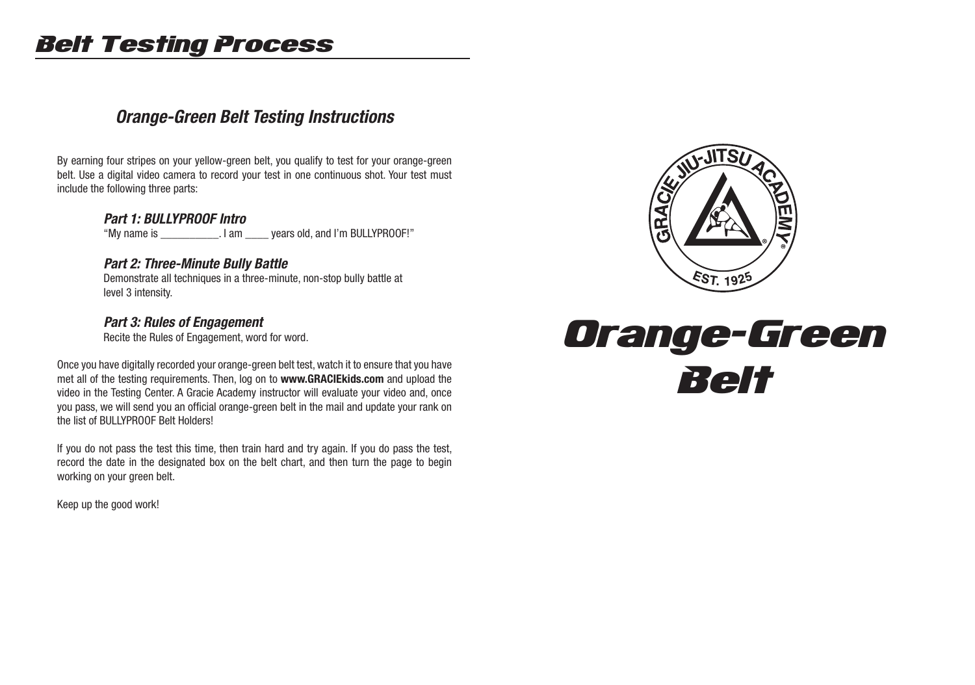# Belt Testing Process

## *Orange-Green Belt Testing Instructions*

By earning four stripes on your yellow-green belt, you qualify to test for your orange-green belt. Use a digital video camera to record your test in one continuous shot. Your test must include the following three parts:

#### *Part 1: BULLYPROOF Intro*

"My name is \_\_\_\_\_\_\_\_\_\_. I am \_\_\_\_ years old, and I'm BULLYPROOF!"

#### *Part 2: Three-Minute Bully Battle*

 Demonstrate all techniques in a three-minute, non-stop bully battle at level 3 intensity.

#### *Part 3: Rules of Engagement*

Recite the Rules of Engagement, word for word.

Once you have digitally recorded your orange-green belt test, watch it to ensure that you have met all of the testing requirements. Then, log on to **www.GRACIEkids.com** and upload the video in the Testing Center. A Gracie Academy instructor will evaluate your video and, once you pass, we will send you an official orange-green belt in the mail and update your rank on the list of BULLYPROOF Belt Holders!

If you do not pass the test this time, then train hard and try again. If you do pass the test, record the date in the designated box on the belt chart, and then turn the page to begin working on your green belt.

Keep up the good work!



# Orange-Green Belt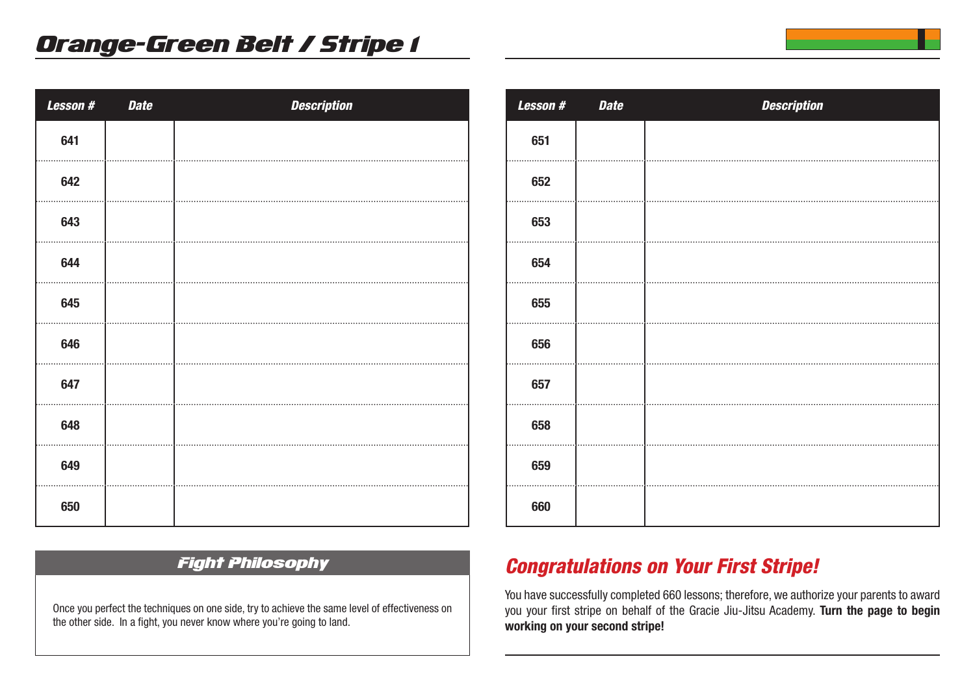| Lesson# | <b>Date</b> | <b>Description</b> |
|---------|-------------|--------------------|
| 641     |             |                    |
| 642     |             |                    |
| 643     |             |                    |
| 644     |             |                    |
| 645     |             |                    |
| 646     |             |                    |
| 647     |             |                    |
| 648     |             |                    |
| 649     |             |                    |
| 650     |             |                    |

| <b>Lesson#</b> | <b>Date</b> | <b>Description</b> |
|----------------|-------------|--------------------|
| 651            |             |                    |
| 652            |             |                    |
| 653            |             |                    |
| 654            |             |                    |
| 655            |             |                    |
| 656            |             |                    |
| 657            |             |                    |
| 658            |             |                    |
| 659            |             |                    |
| 660            |             |                    |

### Fight Philosophy

Once you perfect the techniques on one side, try to achieve the same level of effectiveness on the other side. In a fight, you never know where you're going to land.

## *Congratulations on Your First Stripe!*

You have successfully completed 660 lessons; therefore, we authorize your parents to award you your first stripe on behalf of the Gracie Jiu-Jitsu Academy. **Turn the page to begin working on your second stripe!**

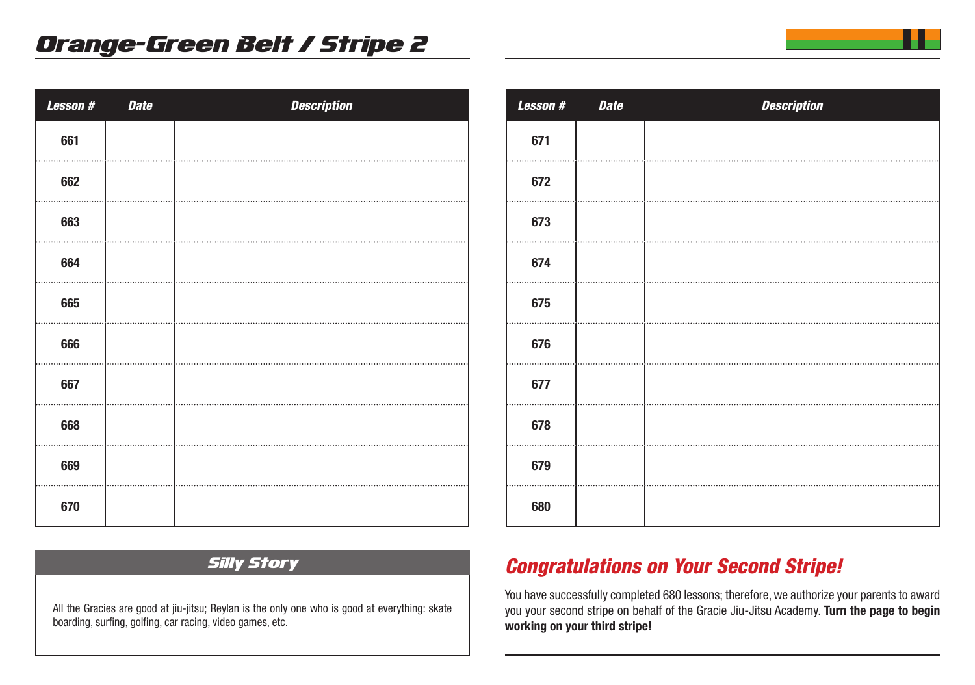| Lesson # | <b>Date</b> | <b>Description</b> |
|----------|-------------|--------------------|
| 661      |             |                    |
| 662      |             |                    |
| 663      |             |                    |
| 664      |             |                    |
| 665      |             |                    |
| 666      |             |                    |
| 667      |             |                    |
| 668      |             |                    |
| 669      |             |                    |
| 670      |             |                    |

| Lesson # | <b>Date</b> | <b>Description</b> |
|----------|-------------|--------------------|
| 671      |             |                    |
| 672      |             |                    |
| 673      |             |                    |
| 674      |             |                    |
| 675      |             |                    |
| 676      |             |                    |
| 677      |             |                    |
| 678      |             |                    |
| 679      |             |                    |
| 680      |             |                    |
|          |             |                    |

### Silly Story

All the Gracies are good at jiu-jitsu; Reylan is the only one who is good at everything: skate boarding, surfing, golfing, car racing, video games, etc.

## *Congratulations on Your Second Stripe!*

You have successfully completed 680 lessons; therefore, we authorize your parents to award you your second stripe on behalf of the Gracie Jiu-Jitsu Academy. **Turn the page to begin working on your third stripe!**

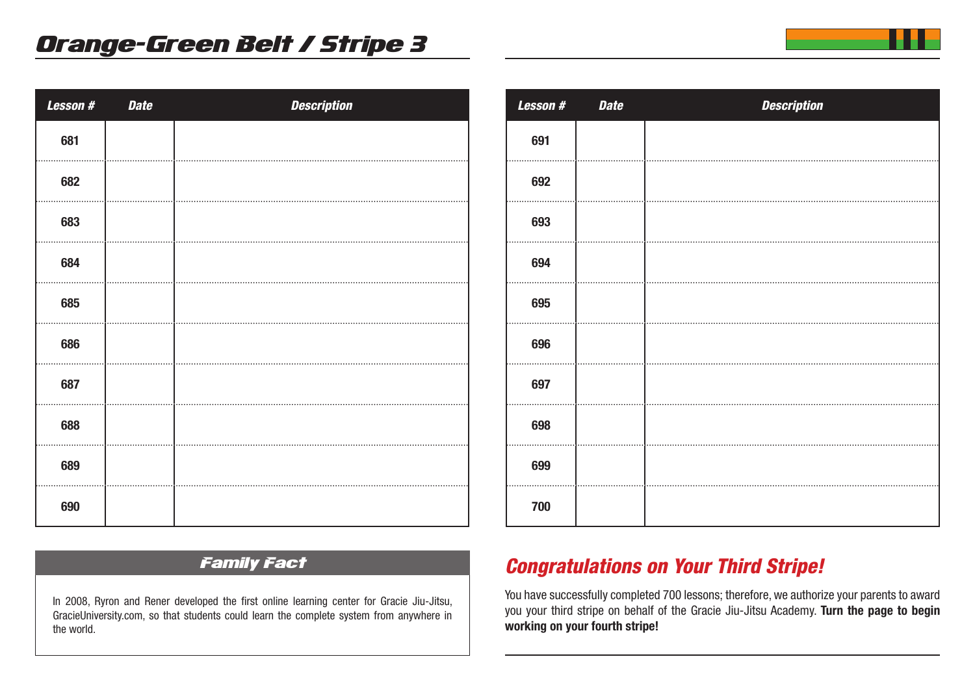| Lesson # | <b>Date</b> | <b>Description</b> |
|----------|-------------|--------------------|
| 681      |             |                    |
| 682      |             |                    |
| 683      |             |                    |
| 684      |             |                    |
| 685      |             |                    |
| 686      |             |                    |
| 687      |             |                    |
| 688      |             |                    |
| 689      |             |                    |
| 690      |             |                    |

| Lesson # | <b>Date</b> | <b>Description</b> |
|----------|-------------|--------------------|
| 691      |             |                    |
| 692      |             |                    |
| 693      |             |                    |
| 694      |             |                    |
| 695      |             |                    |
| 696      |             |                    |
| 697      |             |                    |
| 698      |             |                    |
| 699      |             |                    |
| 700      |             |                    |

## Family Fact

In 2008, Ryron and Rener developed the first online learning center for Gracie Jiu-Jitsu, GracieUniversity.com, so that students could learn the complete system from anywhere in the world.

## *Congratulations on Your Third Stripe!*

You have successfully completed 700 lessons; therefore, we authorize your parents to award you your third stripe on behalf of the Gracie Jiu-Jitsu Academy. **Turn the page to begin working on your fourth stripe!**

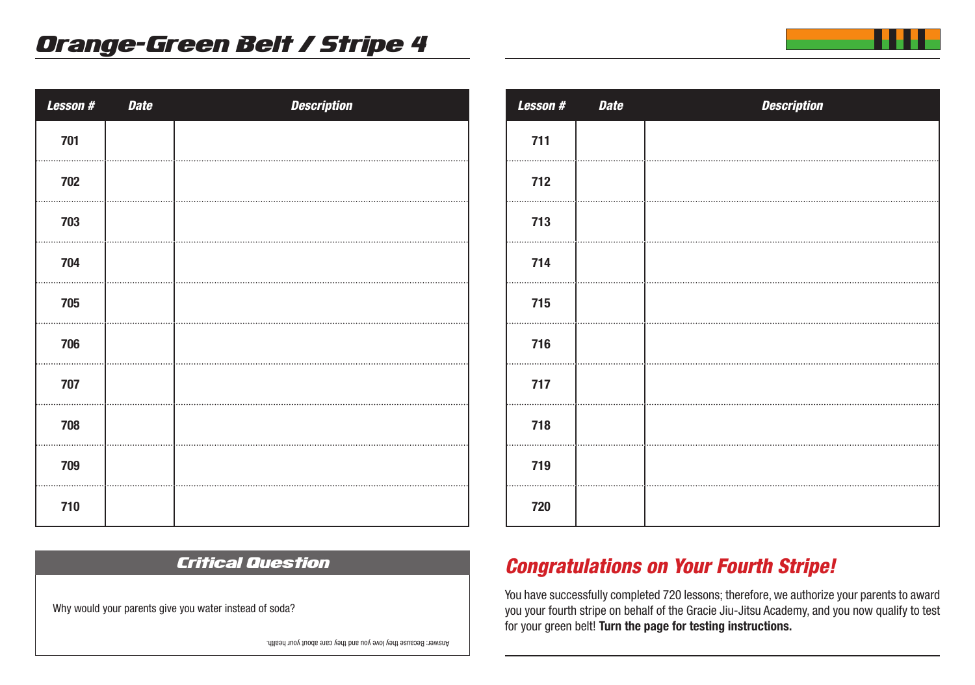| Lesson # | <b>Date</b> | <b>Description</b> |
|----------|-------------|--------------------|
| 701      |             |                    |
| 702      |             |                    |
| 703      |             |                    |
| 704      |             |                    |
| 705      |             |                    |
| 706      |             |                    |
| 707      |             |                    |
| 708      |             |                    |
| 709      |             |                    |
| 710      |             |                    |

Critical Question

| <b>Lesson#</b> | <b>Date</b> | <b>Description</b> |
|----------------|-------------|--------------------|
| 711            |             |                    |
| 712            |             |                    |
| 713            |             |                    |
| 714            |             |                    |
| 715            |             |                    |
| 716            |             |                    |
| 717            |             |                    |
| 718            |             |                    |
| 719            |             |                    |
| 720            |             |                    |

## *Congratulations on Your Fourth Stripe!*

You have successfully completed 720 lessons; therefore, we authorize your parents to award you your fourth stripe on behalf of the Gracie Jiu-Jitsu Academy, and you now qualify to test for your green belt! **Turn the page for testing instructions.** 

Why would your parents give you water instead of soda?

Answer: Because they love you and they care about your health.

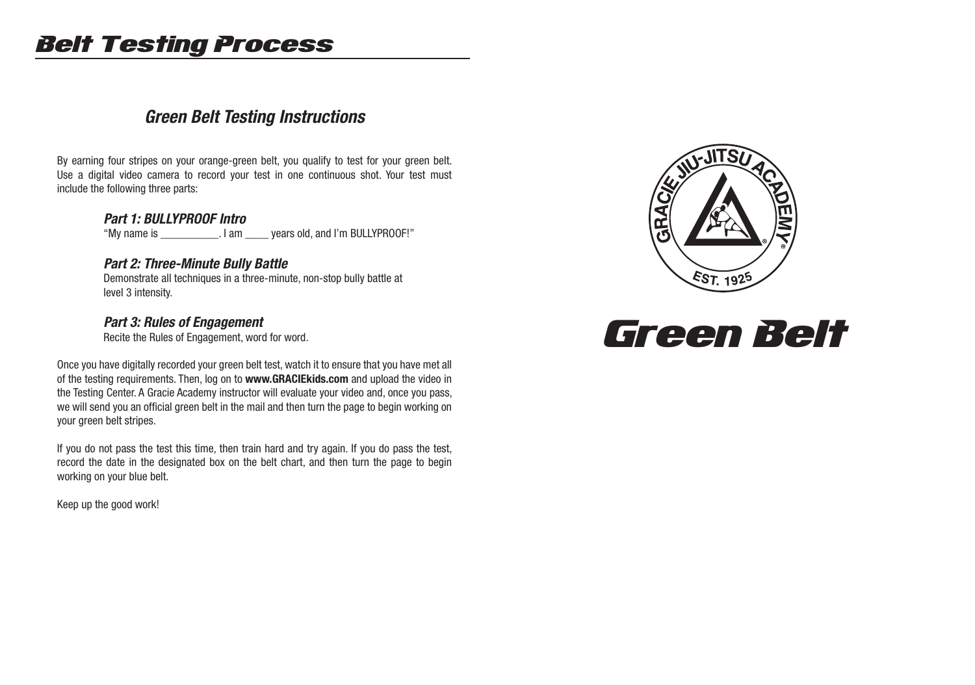# Belt Testing Process

## *Green Belt Testing Instructions*

By earning four stripes on your orange-green belt, you qualify to test for your green belt. Use a digital video camera to record your test in one continuous shot. Your test must include the following three parts:

#### *Part 1: BULLYPROOF Intro*

"My name is \_\_\_\_\_\_\_\_\_\_. I am \_\_\_\_ years old, and I'm BULLYPROOF!"

#### *Part 2: Three-Minute Bully Battle*

 Demonstrate all techniques in a three-minute, non-stop bully battle at level 3 intensity.

#### *Part 3: Rules of Engagement*

Recite the Rules of Engagement, word for word.

Once you have digitally recorded your green belt test, watch it to ensure that you have met all of the testing requirements. Then, log on to **www.GRACIEkids.com** and upload the video in the Testing Center. A Gracie Academy instructor will evaluate your video and, once you pass, we will send you an official green belt in the mail and then turn the page to begin working on your green belt stripes.

If you do not pass the test this time, then train hard and try again. If you do pass the test, record the date in the designated box on the belt chart, and then turn the page to begin working on your blue belt.

Keep up the good work!



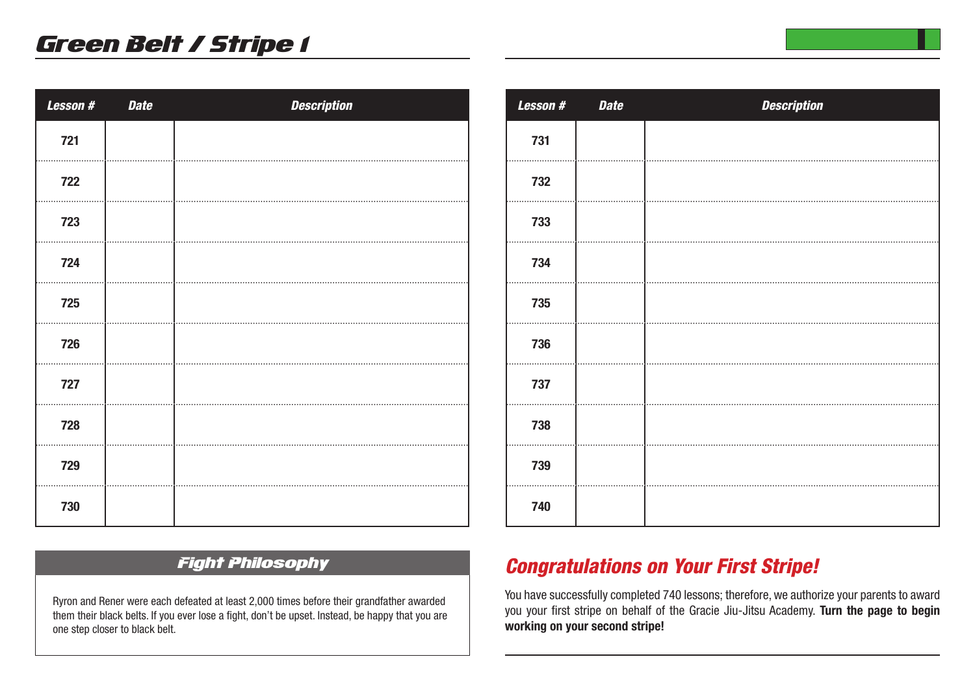| <b>Lesson#</b> | <b>Date</b> | <b>Description</b> |
|----------------|-------------|--------------------|
| 721            |             |                    |
| 722            |             |                    |
| 723            |             |                    |
| 724            |             |                    |
| 725            |             |                    |
| 726            |             |                    |
| 727            |             |                    |
| 728            |             |                    |
| 729            |             |                    |
| 730            |             |                    |

| <b>Lesson#</b> | <b>Date</b> | <b>Description</b> |
|----------------|-------------|--------------------|
| 731            |             |                    |
| 732            |             |                    |
| 733            |             |                    |
| 734            |             |                    |
| 735            |             |                    |
| 736            |             |                    |
| 737            |             |                    |
| 738            |             |                    |
| 739            |             |                    |
| 740            |             |                    |

## Fight Philosophy

Ryron and Rener were each defeated at least 2,000 times before their grandfather awarded them their black belts. If you ever lose a fight, don't be upset. Instead, be happy that you are one step closer to black belt.

## *Congratulations on Your First Stripe!*

You have successfully completed 740 lessons; therefore, we authorize your parents to award you your first stripe on behalf of the Gracie Jiu-Jitsu Academy. **Turn the page to begin working on your second stripe!**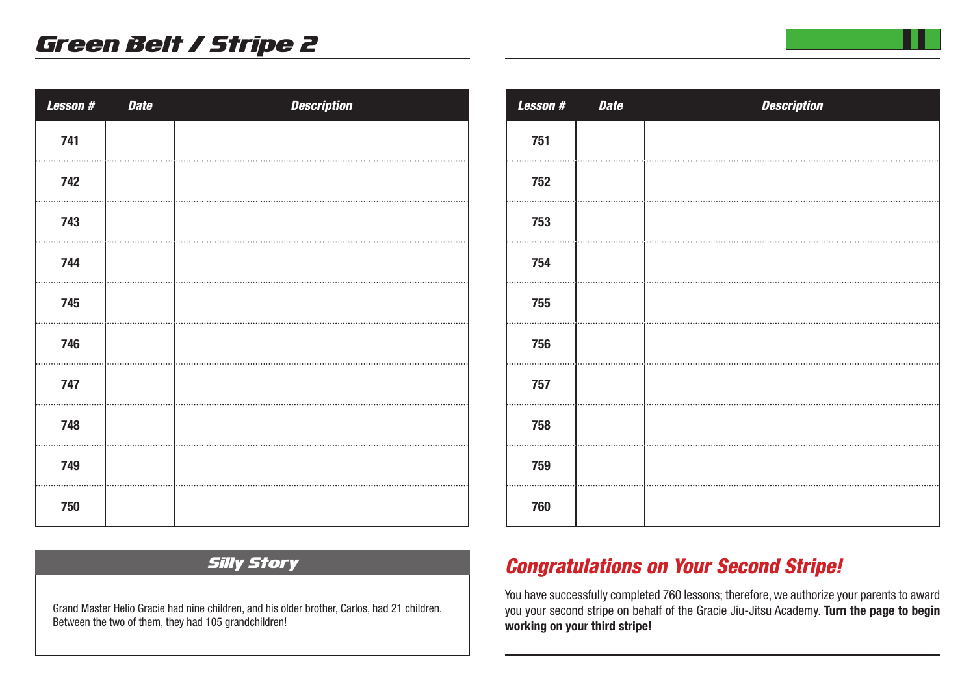| Lesson # | <b>Date</b> | <b>Description</b> |
|----------|-------------|--------------------|
| 741      |             |                    |
| 742      |             |                    |
| 743      |             |                    |
| 744      |             |                    |
| 745      |             |                    |
| 746      |             |                    |
| 747      |             |                    |
| 748      |             |                    |
| 749      |             |                    |
| 750      |             |                    |

| <b>Lesson#</b> | <b>Date</b> | <b>Description</b> |
|----------------|-------------|--------------------|
| 751            |             |                    |
| 752            |             |                    |
| 753            |             |                    |
| 754            |             |                    |
| 755            |             |                    |
| 756            |             |                    |
| 757            |             |                    |
| 758            |             |                    |
| 759            |             |                    |
| 760            |             |                    |

#### Silly Story

Grand Master Helio Gracie had nine children, and his older brother, Carlos, had 21 children. Between the two of them, they had 105 grandchildren!

## *Congratulations on Your Second Stripe!*

You have successfully completed 760 lessons; therefore, we authorize your parents to award you your second stripe on behalf of the Gracie Jiu-Jitsu Academy. **Turn the page to begin working on your third stripe!**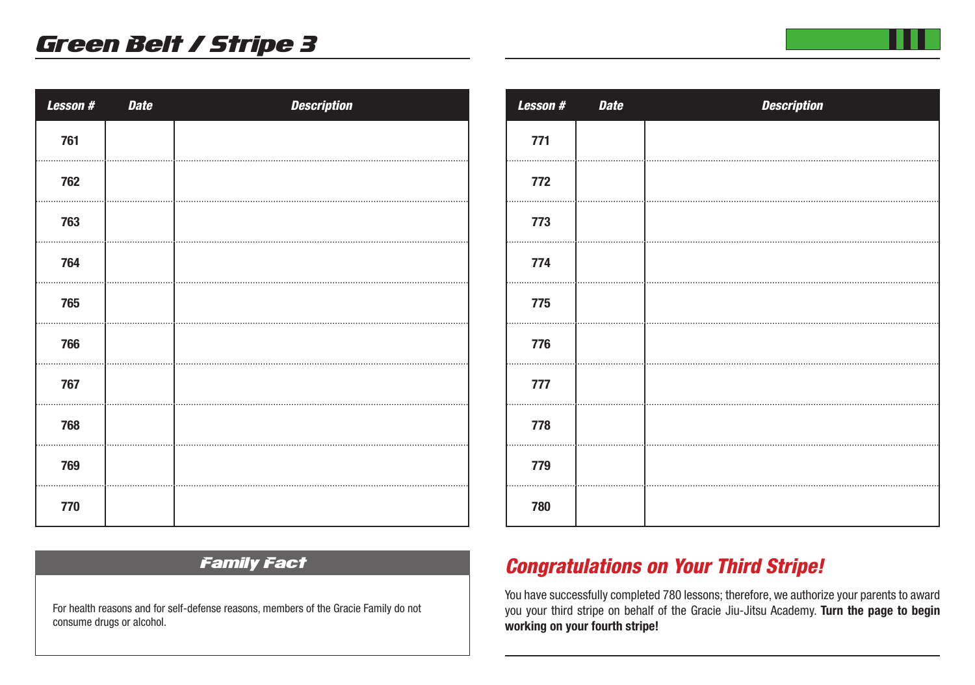| Lesson # | <b>Date</b> | <b>Description</b> |
|----------|-------------|--------------------|
| 761      |             |                    |
| 762      |             |                    |
| 763      |             |                    |
| 764      |             |                    |
| 765      |             |                    |
| 766      |             |                    |
| 767      |             |                    |
| 768      |             |                    |
| 769      |             |                    |
| 770      |             |                    |

| Lesson # | <b>Date</b> | <b>Description</b> |
|----------|-------------|--------------------|
| 771      |             |                    |
| 772      |             |                    |
| 773      |             |                    |
| 774      |             |                    |
| 775      |             |                    |
| 776      |             |                    |
| 777      |             |                    |
| 778      |             |                    |
| 779      |             |                    |
| 780      |             |                    |

### Family Fact

For health reasons and for self-defense reasons, members of the Gracie Family do not consume drugs or alcohol.

## *Congratulations on Your Third Stripe!*

You have successfully completed 780 lessons; therefore, we authorize your parents to award you your third stripe on behalf of the Gracie Jiu-Jitsu Academy. **Turn the page to begin working on your fourth stripe!**

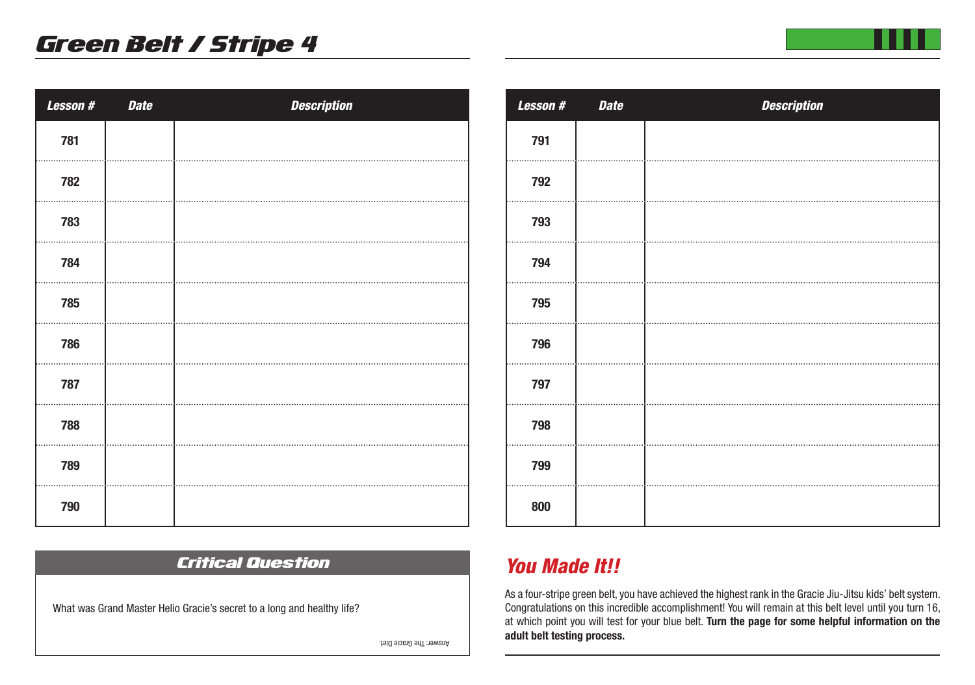| Lesson # | <b>Date</b> | <b>Description</b> |
|----------|-------------|--------------------|
| 781      |             |                    |
| 782      |             |                    |
| 783      |             |                    |
| 784      |             |                    |
| 785      |             |                    |
| 786      |             |                    |
| 787      |             |                    |
| 788      |             |                    |
| 789      |             |                    |
| 790      |             |                    |

## Critical Question

What was Grand Master Helio Gracie's secret to a long and healthy life?

Answer: The Gracie Diet.

| Lesson # | <b>Date</b> | <b>Description</b> |
|----------|-------------|--------------------|
| 791      |             |                    |
| 792      |             |                    |
| 793      |             |                    |
| 794      |             |                    |
| 795      |             |                    |
| 796      |             |                    |
| 797      |             |                    |
| 798      |             |                    |
| 799      |             |                    |
| 800      |             |                    |

## *You Made It!!*

As a four-stripe green belt, you have achieved the highest rank in the Gracie Jiu-Jitsu kids' belt system. Congratulations on this incredible accomplishment! You will remain at this belt level until you turn 16, at which point you will test for your blue belt. **Turn the page for some helpful information on the adult belt testing process.**